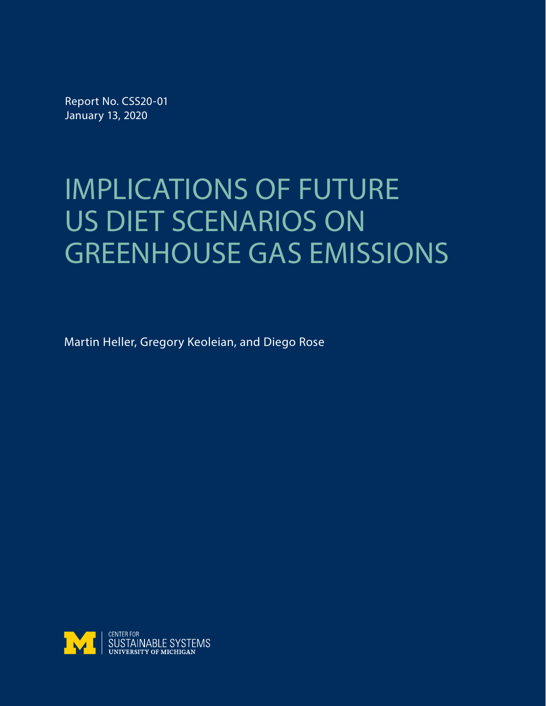Report No. CSS20-01 January 13, 2020

# IMPLICATIONS OF FUTURE US DIET SCENARIOS ON GREENHOUSE GAS EMISSIONS

Martin Heller, Gregory Keoleian, and Diego Rose

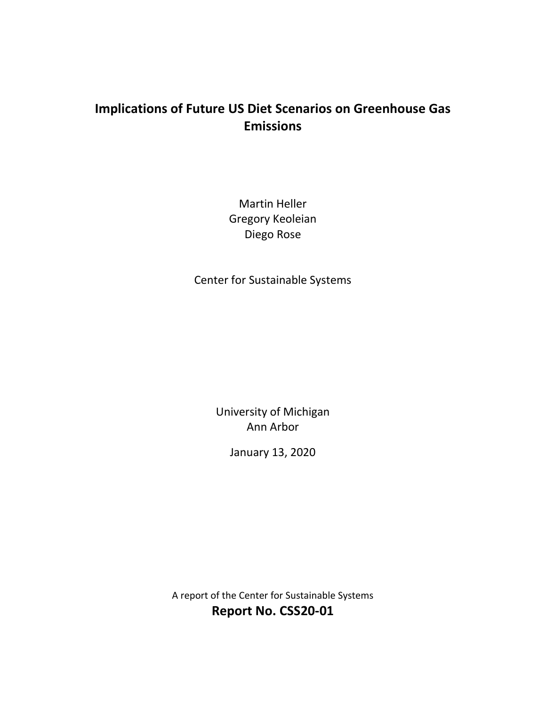## **Implications of Future US Diet Scenarios on Greenhouse Gas Emissions**

Martin Heller Gregory Keoleian Diego Rose

Center for Sustainable Systems

University of Michigan Ann Arbor

January 13, 2020

A report of the Center for Sustainable Systems **Report No. CSS20-01**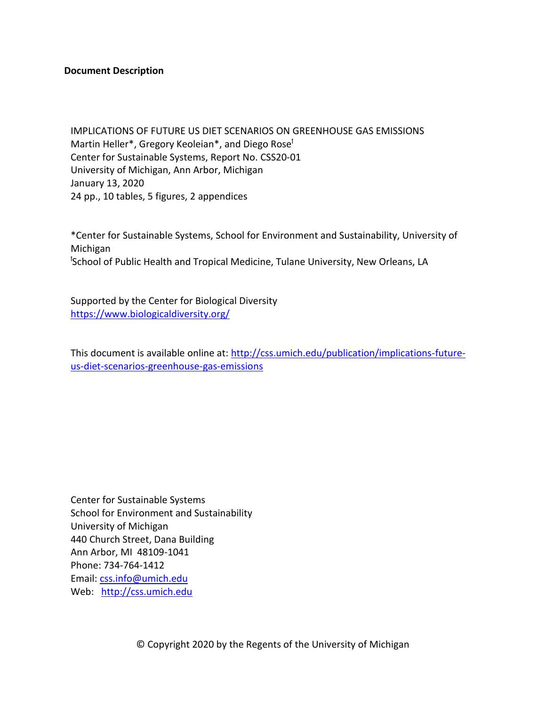#### **Document Description**

IMPLICATIONS OF FUTURE US DIET SCENARIOS ON GREENHOUSE GAS EMISSIONS Martin Heller<sup>\*</sup>, Gregory Keoleian<sup>\*</sup>, and Diego Rose<sup>†</sup> Center for Sustainable Systems, Report No. CSS20-01 University of Michigan, Ann Arbor, Michigan January 13, 2020 24 pp., 10 tables, 5 figures, 2 appendices

\*Center for Sustainable Systems, School for Environment and Sustainability, University of Michigan <sup>t</sup>School of Public Health and Tropical Medicine, Tulane University, New Orleans, LA

Supported by the Center for Biological Diversity <https://www.biologicaldiversity.org/>

This document is available online at: [http://css.umich.edu/publication/implications-future](http://css.umich.edu/publication/implications-future-us-diet-scenarios-greenhouse-gas-emissions)[us-diet-scenarios-greenhouse-gas-emissions](http://css.umich.edu/publication/implications-future-us-diet-scenarios-greenhouse-gas-emissions)

Center for Sustainable Systems School for Environment and Sustainability University of Michigan 440 Church Street, Dana Building Ann Arbor, MI 48109-1041 Phone: 734-764-1412 Email: [css.info@umich.edu](mailto:css.info@umich.edu) Web: [http://css.umich.edu](http://css.umich.edu/)

© Copyright 2020 by the Regents of the University of Michigan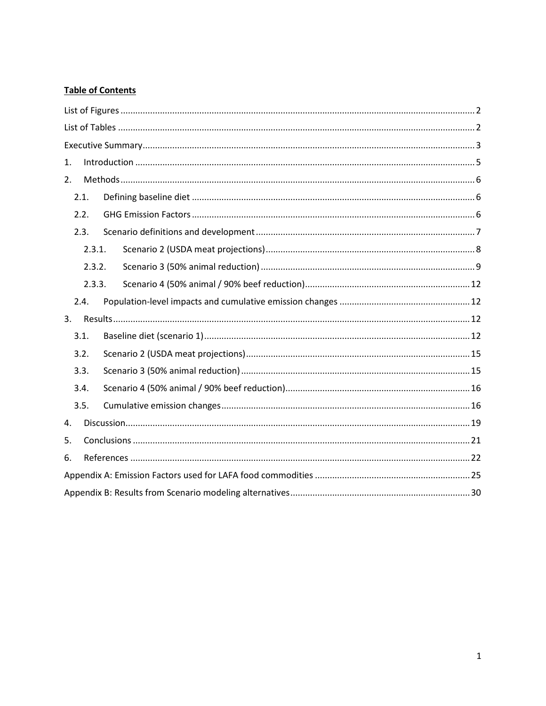## **Table of Contents**

| 1. |        |  |  |  |  |  |  |  |  |
|----|--------|--|--|--|--|--|--|--|--|
| 2. |        |  |  |  |  |  |  |  |  |
|    | 2.1.   |  |  |  |  |  |  |  |  |
|    | 2.2.   |  |  |  |  |  |  |  |  |
|    | 2.3.   |  |  |  |  |  |  |  |  |
|    | 2.3.1. |  |  |  |  |  |  |  |  |
|    | 2.3.2. |  |  |  |  |  |  |  |  |
|    | 2.3.3. |  |  |  |  |  |  |  |  |
|    | 2.4.   |  |  |  |  |  |  |  |  |
| 3. |        |  |  |  |  |  |  |  |  |
|    | 3.1.   |  |  |  |  |  |  |  |  |
|    | 3.2.   |  |  |  |  |  |  |  |  |
|    | 3.3.   |  |  |  |  |  |  |  |  |
|    | 3.4.   |  |  |  |  |  |  |  |  |
|    | 3.5.   |  |  |  |  |  |  |  |  |
| 4. |        |  |  |  |  |  |  |  |  |
| 5. |        |  |  |  |  |  |  |  |  |
| 6. |        |  |  |  |  |  |  |  |  |
|    |        |  |  |  |  |  |  |  |  |
|    |        |  |  |  |  |  |  |  |  |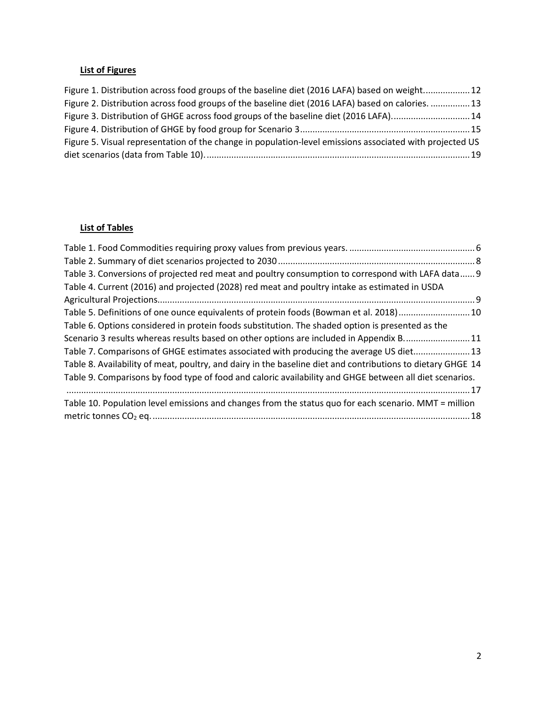## <span id="page-4-0"></span>**List of Figures**

| Figure 1. Distribution across food groups of the baseline diet (2016 LAFA) based on weight12             |  |
|----------------------------------------------------------------------------------------------------------|--|
| Figure 2. Distribution across food groups of the baseline diet (2016 LAFA) based on calories. 13         |  |
| Figure 3. Distribution of GHGE across food groups of the baseline diet (2016 LAFA)14                     |  |
|                                                                                                          |  |
| Figure 5. Visual representation of the change in population-level emissions associated with projected US |  |
|                                                                                                          |  |

## <span id="page-4-1"></span>**List of Tables**

| Table 3. Conversions of projected red meat and poultry consumption to correspond with LAFA data 9           |  |
|-------------------------------------------------------------------------------------------------------------|--|
| Table 4. Current (2016) and projected (2028) red meat and poultry intake as estimated in USDA               |  |
|                                                                                                             |  |
| Table 5. Definitions of one ounce equivalents of protein foods (Bowman et al. 2018)10                       |  |
| Table 6. Options considered in protein foods substitution. The shaded option is presented as the            |  |
| Scenario 3 results whereas results based on other options are included in Appendix B11                      |  |
| Table 7. Comparisons of GHGE estimates associated with producing the average US diet 13                     |  |
| Table 8. Availability of meat, poultry, and dairy in the baseline diet and contributions to dietary GHGE 14 |  |
| Table 9. Comparisons by food type of food and caloric availability and GHGE between all diet scenarios.     |  |
|                                                                                                             |  |
| Table 10. Population level emissions and changes from the status quo for each scenario. MMT = million       |  |
|                                                                                                             |  |
|                                                                                                             |  |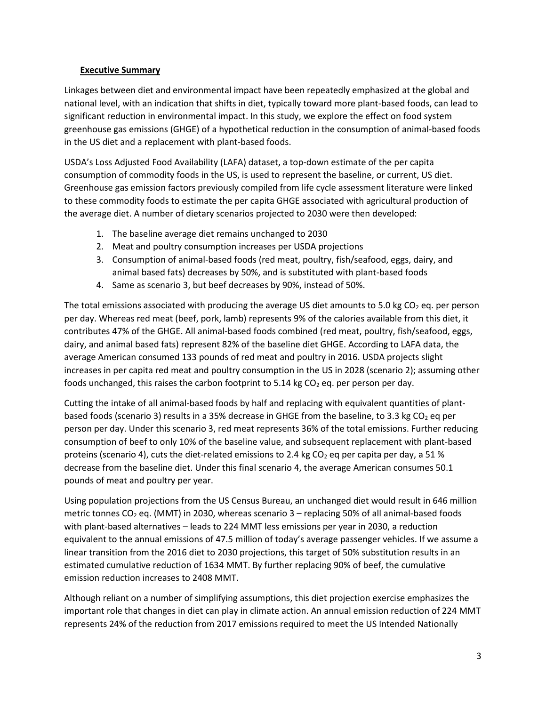#### <span id="page-5-0"></span>**Executive Summary**

Linkages between diet and environmental impact have been repeatedly emphasized at the global and national level, with an indication that shifts in diet, typically toward more plant-based foods, can lead to significant reduction in environmental impact. In this study, we explore the effect on food system greenhouse gas emissions (GHGE) of a hypothetical reduction in the consumption of animal-based foods in the US diet and a replacement with plant-based foods.

USDA's Loss Adjusted Food Availability (LAFA) dataset, a top-down estimate of the per capita consumption of commodity foods in the US, is used to represent the baseline, or current, US diet. Greenhouse gas emission factors previously compiled from life cycle assessment literature were linked to these commodity foods to estimate the per capita GHGE associated with agricultural production of the average diet. A number of dietary scenarios projected to 2030 were then developed:

- 1. The baseline average diet remains unchanged to 2030
- 2. Meat and poultry consumption increases per USDA projections
- 3. Consumption of animal-based foods (red meat, poultry, fish/seafood, eggs, dairy, and animal based fats) decreases by 50%, and is substituted with plant-based foods
- 4. Same as scenario 3, but beef decreases by 90%, instead of 50%.

The total emissions associated with producing the average US diet amounts to 5.0 kg  $CO<sub>2</sub>$  eq. per person per day. Whereas red meat (beef, pork, lamb) represents 9% of the calories available from this diet, it contributes 47% of the GHGE. All animal-based foods combined (red meat, poultry, fish/seafood, eggs, dairy, and animal based fats) represent 82% of the baseline diet GHGE. According to LAFA data, the average American consumed 133 pounds of red meat and poultry in 2016. USDA projects slight increases in per capita red meat and poultry consumption in the US in 2028 (scenario 2); assuming other foods unchanged, this raises the carbon footprint to 5.14 kg  $CO<sub>2</sub>$  eq. per person per day.

Cutting the intake of all animal-based foods by half and replacing with equivalent quantities of plantbased foods (scenario 3) results in a 35% decrease in GHGE from the baseline, to 3.3 kg  $CO<sub>2</sub>$  eq per person per day. Under this scenario 3, red meat represents 36% of the total emissions. Further reducing consumption of beef to only 10% of the baseline value, and subsequent replacement with plant-based proteins (scenario 4), cuts the diet-related emissions to 2.4 kg CO<sub>2</sub> eq per capita per day, a 51 % decrease from the baseline diet. Under this final scenario 4, the average American consumes 50.1 pounds of meat and poultry per year.

Using population projections from the US Census Bureau, an unchanged diet would result in 646 million metric tonnes  $CO<sub>2</sub>$  eq. (MMT) in 2030, whereas scenario 3 – replacing 50% of all animal-based foods with plant-based alternatives – leads to 224 MMT less emissions per year in 2030, a reduction equivalent to the annual emissions of 47.5 million of today's average passenger vehicles. If we assume a linear transition from the 2016 diet to 2030 projections, this target of 50% substitution results in an estimated cumulative reduction of 1634 MMT. By further replacing 90% of beef, the cumulative emission reduction increases to 2408 MMT.

Although reliant on a number of simplifying assumptions, this diet projection exercise emphasizes the important role that changes in diet can play in climate action. An annual emission reduction of 224 MMT represents 24% of the reduction from 2017 emissions required to meet the US Intended Nationally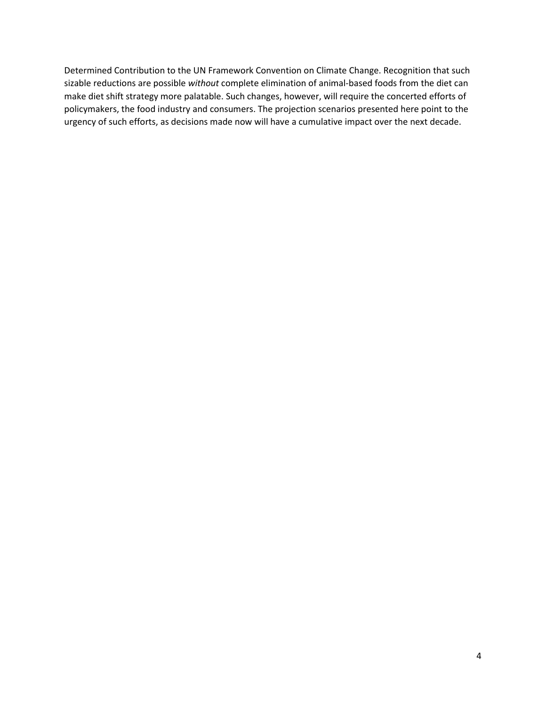Determined Contribution to the UN Framework Convention on Climate Change. Recognition that such sizable reductions are possible *without* complete elimination of animal-based foods from the diet can make diet shift strategy more palatable. Such changes, however, will require the concerted efforts of policymakers, the food industry and consumers. The projection scenarios presented here point to the urgency of such efforts, as decisions made now will have a cumulative impact over the next decade.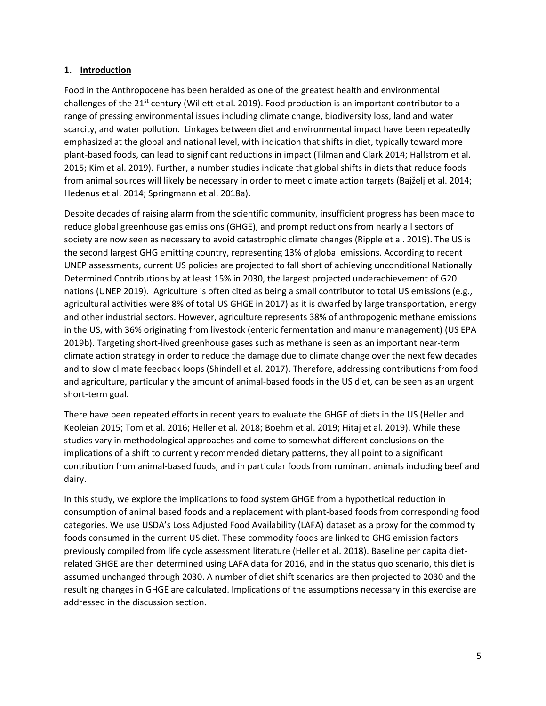#### <span id="page-7-0"></span>**1. Introduction**

Food in the Anthropocene has been heralded as one of the greatest health and environmental challenges of the  $21^{st}$  century (Willett et al. 2019). Food production is an important contributor to a range of pressing environmental issues including climate change, biodiversity loss, land and water scarcity, and water pollution. Linkages between diet and environmental impact have been repeatedly emphasized at the global and national level, with indication that shifts in diet, typically toward more plant-based foods, can lead to significant reductions in impact (Tilman and Clark 2014; Hallstrom et al. 2015; Kim et al. 2019). Further, a number studies indicate that global shifts in diets that reduce foods from animal sources will likely be necessary in order to meet climate action targets (Bajželj et al. 2014; Hedenus et al. 2014; Springmann et al. 2018a).

Despite decades of raising alarm from the scientific community, insufficient progress has been made to reduce global greenhouse gas emissions (GHGE), and prompt reductions from nearly all sectors of society are now seen as necessary to avoid catastrophic climate changes (Ripple et al. 2019). The US is the second largest GHG emitting country, representing 13% of global emissions. According to recent UNEP assessments, current US policies are projected to fall short of achieving unconditional Nationally Determined Contributions by at least 15% in 2030, the largest projected underachievement of G20 nations (UNEP 2019). Agriculture is often cited as being a small contributor to total US emissions (e.g., agricultural activities were 8% of total US GHGE in 2017) as it is dwarfed by large transportation, energy and other industrial sectors. However, agriculture represents 38% of anthropogenic methane emissions in the US, with 36% originating from livestock (enteric fermentation and manure management) (US EPA 2019b). Targeting short-lived greenhouse gases such as methane is seen as an important near-term climate action strategy in order to reduce the damage due to climate change over the next few decades and to slow climate feedback loops (Shindell et al. 2017). Therefore, addressing contributions from food and agriculture, particularly the amount of animal-based foods in the US diet, can be seen as an urgent short-term goal.

There have been repeated efforts in recent years to evaluate the GHGE of diets in the US (Heller and Keoleian 2015; Tom et al. 2016; Heller et al. 2018; Boehm et al. 2019; Hitaj et al. 2019). While these studies vary in methodological approaches and come to somewhat different conclusions on the implications of a shift to currently recommended dietary patterns, they all point to a significant contribution from animal-based foods, and in particular foods from ruminant animals including beef and dairy.

In this study, we explore the implications to food system GHGE from a hypothetical reduction in consumption of animal based foods and a replacement with plant-based foods from corresponding food categories. We use USDA's Loss Adjusted Food Availability (LAFA) dataset as a proxy for the commodity foods consumed in the current US diet. These commodity foods are linked to GHG emission factors previously compiled from life cycle assessment literature (Heller et al. 2018). Baseline per capita dietrelated GHGE are then determined using LAFA data for 2016, and in the status quo scenario, this diet is assumed unchanged through 2030. A number of diet shift scenarios are then projected to 2030 and the resulting changes in GHGE are calculated. Implications of the assumptions necessary in this exercise are addressed in the discussion section.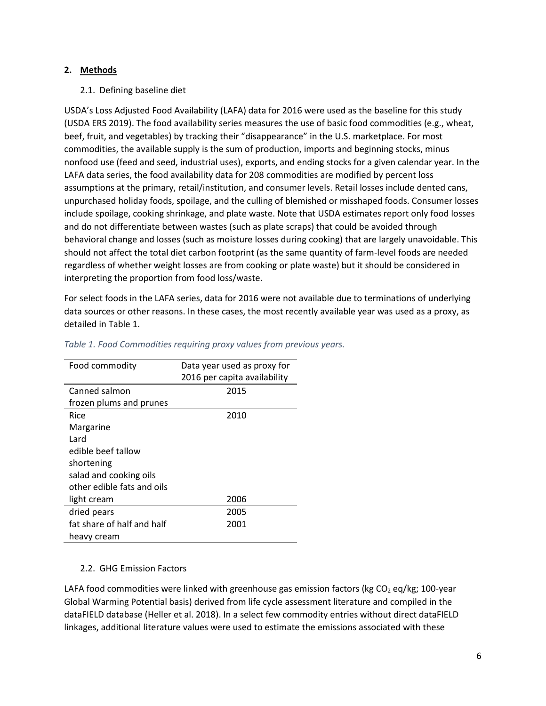#### <span id="page-8-0"></span>**2. Methods**

#### <span id="page-8-1"></span>2.1. Defining baseline diet

USDA's Loss Adjusted Food Availability (LAFA) data for 2016 were used as the baseline for this study (USDA ERS 2019). The food availability series measures the use of basic food commodities (e.g., wheat, beef, fruit, and vegetables) by tracking their "disappearance" in the U.S. marketplace. For most commodities, the available supply is the sum of production, imports and beginning stocks, minus nonfood use (feed and seed, industrial uses), exports, and ending stocks for a given calendar year. In the LAFA data series, the food availability data for 208 commodities are modified by percent loss assumptions at the primary, retail/institution, and consumer levels. Retail losses include dented cans, unpurchased holiday foods, spoilage, and the culling of blemished or misshaped foods. Consumer losses include spoilage, cooking shrinkage, and plate waste. Note that USDA estimates report only food losses and do not differentiate between wastes (such as plate scraps) that could be avoided through behavioral change and losses (such as moisture losses during cooking) that are largely unavoidable. This should not affect the total diet carbon footprint (as the same quantity of farm-level foods are needed regardless of whether weight losses are from cooking or plate waste) but it should be considered in interpreting the proportion from food loss/waste.

For select foods in the LAFA series, data for 2016 were not available due to terminations of underlying data sources or other reasons. In these cases, the most recently available year was used as a proxy, as detailed in [Table 1.](#page-8-3)

| Food commodity             | Data year used as proxy for<br>2016 per capita availability |
|----------------------------|-------------------------------------------------------------|
| Canned salmon              | 2015                                                        |
| frozen plums and prunes    |                                                             |
| Rice                       | 2010                                                        |
| Margarine                  |                                                             |
| Lard                       |                                                             |
| edible beef tallow         |                                                             |
| shortening                 |                                                             |
| salad and cooking oils     |                                                             |
| other edible fats and oils |                                                             |
| light cream                | 2006                                                        |
| dried pears                | 2005                                                        |
| fat share of half and half | 2001                                                        |
| heavy cream                |                                                             |

#### <span id="page-8-3"></span>*Table 1. Food Commodities requiring proxy values from previous years.*

#### <span id="page-8-2"></span>2.2. GHG Emission Factors

LAFA food commodities were linked with greenhouse gas emission factors (kg  $CO<sub>2</sub>$  eq/kg; 100-year Global Warming Potential basis) derived from life cycle assessment literature and compiled in the dataFIELD database (Heller et al. 2018). In a select few commodity entries without direct dataFIELD linkages, additional literature values were used to estimate the emissions associated with these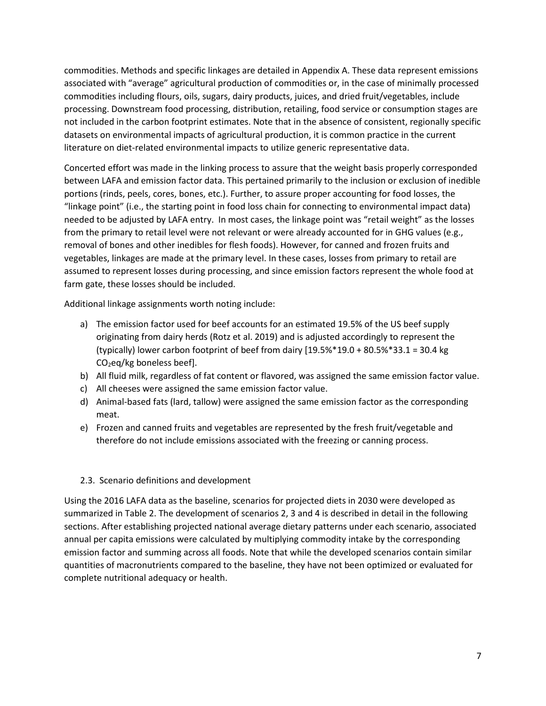commodities. Methods and specific linkages are detailed in Appendix A. These data represent emissions associated with "average" agricultural production of commodities or, in the case of minimally processed commodities including flours, oils, sugars, dairy products, juices, and dried fruit/vegetables, include processing. Downstream food processing, distribution, retailing, food service or consumption stages are not included in the carbon footprint estimates. Note that in the absence of consistent, regionally specific datasets on environmental impacts of agricultural production, it is common practice in the current literature on diet-related environmental impacts to utilize generic representative data.

Concerted effort was made in the linking process to assure that the weight basis properly corresponded between LAFA and emission factor data. This pertained primarily to the inclusion or exclusion of inedible portions (rinds, peels, cores, bones, etc.). Further, to assure proper accounting for food losses, the "linkage point" (i.e., the starting point in food loss chain for connecting to environmental impact data) needed to be adjusted by LAFA entry. In most cases, the linkage point was "retail weight" as the losses from the primary to retail level were not relevant or were already accounted for in GHG values (e.g., removal of bones and other inedibles for flesh foods). However, for canned and frozen fruits and vegetables, linkages are made at the primary level. In these cases, losses from primary to retail are assumed to represent losses during processing, and since emission factors represent the whole food at farm gate, these losses should be included.

Additional linkage assignments worth noting include:

- a) The emission factor used for beef accounts for an estimated 19.5% of the US beef supply originating from dairy herds (Rotz et al. 2019) and is adjusted accordingly to represent the (typically) lower carbon footprint of beef from dairy  $[19.5\%*19.0 + 80.5\%*33.1 = 30.4$  kg CO2eq/kg boneless beef].
- b) All fluid milk, regardless of fat content or flavored, was assigned the same emission factor value.
- c) All cheeses were assigned the same emission factor value.
- d) Animal-based fats (lard, tallow) were assigned the same emission factor as the corresponding meat.
- e) Frozen and canned fruits and vegetables are represented by the fresh fruit/vegetable and therefore do not include emissions associated with the freezing or canning process.

#### <span id="page-9-0"></span>2.3. Scenario definitions and development

Using the 2016 LAFA data as the baseline, scenarios for projected diets in 2030 were developed as summarized in [Table 2.](#page-10-1) The development of scenarios 2, 3 and 4 is described in detail in the following sections. After establishing projected national average dietary patterns under each scenario, associated annual per capita emissions were calculated by multiplying commodity intake by the corresponding emission factor and summing across all foods. Note that while the developed scenarios contain similar quantities of macronutrients compared to the baseline, they have not been optimized or evaluated for complete nutritional adequacy or health.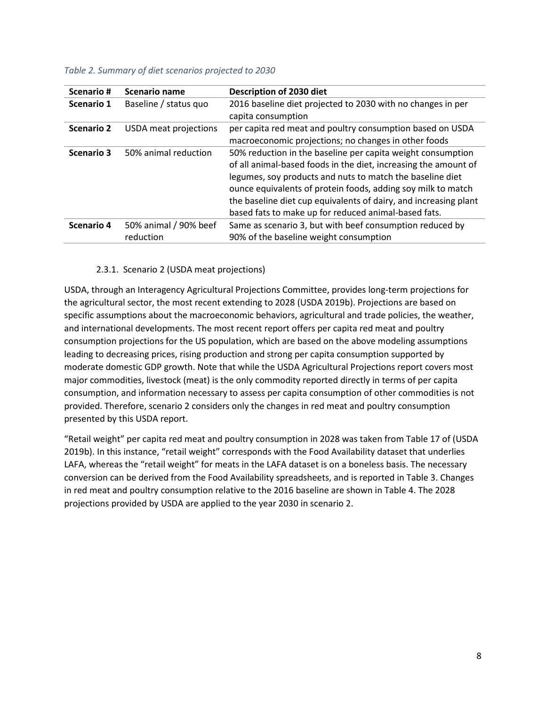| Scenario#         | Scenario name                      | Description of 2030 diet                                                                                                                                                                                                                                                                                                                                                                |
|-------------------|------------------------------------|-----------------------------------------------------------------------------------------------------------------------------------------------------------------------------------------------------------------------------------------------------------------------------------------------------------------------------------------------------------------------------------------|
| Scenario 1        | Baseline / status quo              | 2016 baseline diet projected to 2030 with no changes in per<br>capita consumption                                                                                                                                                                                                                                                                                                       |
| <b>Scenario 2</b> | USDA meat projections              | per capita red meat and poultry consumption based on USDA<br>macroeconomic projections; no changes in other foods                                                                                                                                                                                                                                                                       |
| <b>Scenario 3</b> | 50% animal reduction               | 50% reduction in the baseline per capita weight consumption<br>of all animal-based foods in the diet, increasing the amount of<br>legumes, soy products and nuts to match the baseline diet<br>ounce equivalents of protein foods, adding soy milk to match<br>the baseline diet cup equivalents of dairy, and increasing plant<br>based fats to make up for reduced animal-based fats. |
| Scenario 4        | 50% animal / 90% beef<br>reduction | Same as scenario 3, but with beef consumption reduced by<br>90% of the baseline weight consumption                                                                                                                                                                                                                                                                                      |

#### <span id="page-10-1"></span>*Table 2. Summary of diet scenarios projected to 2030*

#### 2.3.1. Scenario 2 (USDA meat projections)

<span id="page-10-0"></span>USDA, through an Interagency Agricultural Projections Committee, provides long-term projections for the agricultural sector, the most recent extending to 2028 (USDA 2019b). Projections are based on specific assumptions about the macroeconomic behaviors, agricultural and trade policies, the weather, and international developments. The most recent report offers per capita red meat and poultry consumption projections for the US population, which are based on the above modeling assumptions leading to decreasing prices, rising production and strong per capita consumption supported by moderate domestic GDP growth. Note that while the USDA Agricultural Projections report covers most major commodities, livestock (meat) is the only commodity reported directly in terms of per capita consumption, and information necessary to assess per capita consumption of other commodities is not provided. Therefore, scenario 2 considers only the changes in red meat and poultry consumption presented by this USDA report.

"Retail weight" per capita red meat and poultry consumption in 2028 was taken from Table 17 of (USDA 2019b). In this instance, "retail weight" corresponds with the Food Availability dataset that underlies LAFA, whereas the "retail weight" for meats in the LAFA dataset is on a boneless basis. The necessary conversion can be derived from the Food Availability spreadsheets, and is reported in [Table 3.](#page-11-1) Changes in red meat and poultry consumption relative to the 2016 baseline are shown in [Table 4.](#page-11-2) The 2028 projections provided by USDA are applied to the year 2030 in scenario 2.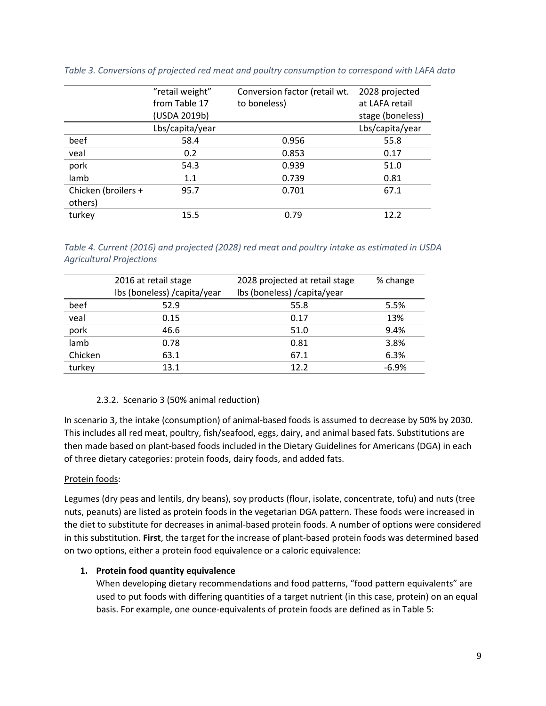|                     | "retail weight"<br>from Table 17 | Conversion factor (retail wt.<br>to boneless) | 2028 projected<br>at LAFA retail |
|---------------------|----------------------------------|-----------------------------------------------|----------------------------------|
|                     | (USDA 2019b)                     |                                               | stage (boneless)                 |
|                     | Lbs/capita/year                  |                                               | Lbs/capita/year                  |
| beef                | 58.4                             | 0.956                                         | 55.8                             |
| veal                | 0.2                              | 0.853                                         | 0.17                             |
| pork                | 54.3                             | 0.939                                         | 51.0                             |
| lamb                | 1.1                              | 0.739                                         | 0.81                             |
| Chicken (broilers + | 95.7                             | 0.701                                         | 67.1                             |
| others)             |                                  |                                               |                                  |
| turkey              | 15.5                             | 0.79                                          | 12.2                             |
|                     |                                  |                                               |                                  |

<span id="page-11-1"></span>*Table 3. Conversions of projected red meat and poultry consumption to correspond with LAFA data*

<span id="page-11-2"></span>*Table 4. Current (2016) and projected (2028) red meat and poultry intake as estimated in USDA Agricultural Projections*

|         | 2016 at retail stage         | 2028 projected at retail stage | % change |
|---------|------------------------------|--------------------------------|----------|
|         | Ibs (boneless) / capita/year | Ibs (boneless) / capita/year   |          |
| beef    | 52.9                         | 55.8                           | 5.5%     |
| veal    | 0.15                         | 0.17                           | 13%      |
| pork    | 46.6                         | 51.0                           | 9.4%     |
| lamb    | 0.78                         | 0.81                           | 3.8%     |
| Chicken | 63.1                         | 67.1                           | 6.3%     |
| turkey  | 13.1                         | 12.2                           | $-6.9%$  |
|         |                              |                                |          |

#### 2.3.2. Scenario 3 (50% animal reduction)

<span id="page-11-0"></span>In scenario 3, the intake (consumption) of animal-based foods is assumed to decrease by 50% by 2030. This includes all red meat, poultry, fish/seafood, eggs, dairy, and animal based fats. Substitutions are then made based on plant-based foods included in the Dietary Guidelines for Americans (DGA) in each of three dietary categories: protein foods, dairy foods, and added fats.

#### Protein foods:

Legumes (dry peas and lentils, dry beans), soy products (flour, isolate, concentrate, tofu) and nuts (tree nuts, peanuts) are listed as protein foods in the vegetarian DGA pattern. These foods were increased in the diet to substitute for decreases in animal-based protein foods. A number of options were considered in this substitution. **First**, the target for the increase of plant-based protein foods was determined based on two options, either a protein food equivalence or a caloric equivalence:

#### **1. Protein food quantity equivalence**

When developing dietary recommendations and food patterns, "food pattern equivalents" are used to put foods with differing quantities of a target nutrient (in this case, protein) on an equal basis. For example, one ounce-equivalents of protein foods are defined as i[n Table 5:](#page-12-0)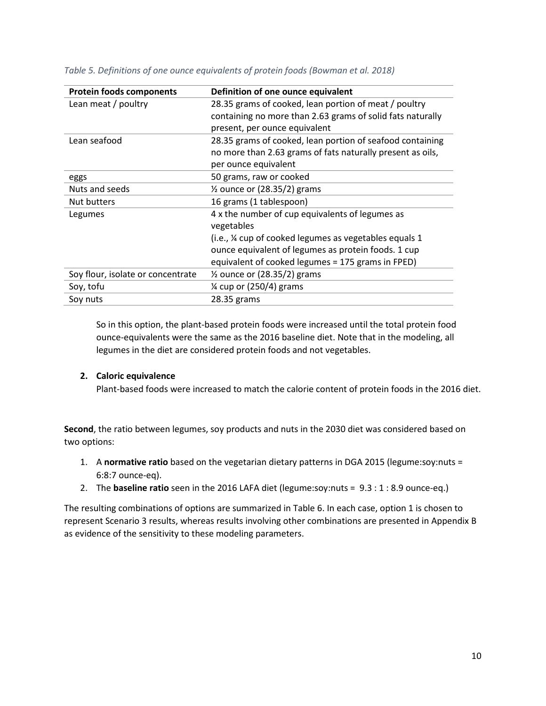| <b>Protein foods components</b>   | Definition of one ounce equivalent                         |  |  |  |
|-----------------------------------|------------------------------------------------------------|--|--|--|
| Lean meat / poultry               | 28.35 grams of cooked, lean portion of meat / poultry      |  |  |  |
|                                   | containing no more than 2.63 grams of solid fats naturally |  |  |  |
|                                   | present, per ounce equivalent                              |  |  |  |
| Lean seafood                      | 28.35 grams of cooked, lean portion of seafood containing  |  |  |  |
|                                   | no more than 2.63 grams of fats naturally present as oils, |  |  |  |
|                                   | per ounce equivalent                                       |  |  |  |
| eggs                              | 50 grams, raw or cooked                                    |  |  |  |
| Nuts and seeds                    | $\frac{1}{2}$ ounce or (28.35/2) grams                     |  |  |  |
| Nut butters                       | 16 grams (1 tablespoon)                                    |  |  |  |
| Legumes                           | 4 x the number of cup equivalents of legumes as            |  |  |  |
|                                   | vegetables                                                 |  |  |  |
|                                   | (i.e., % cup of cooked legumes as vegetables equals 1      |  |  |  |
|                                   | ounce equivalent of legumes as protein foods. 1 cup        |  |  |  |
|                                   | equivalent of cooked legumes = 175 grams in FPED)          |  |  |  |
| Soy flour, isolate or concentrate | $\frac{1}{2}$ ounce or (28.35/2) grams                     |  |  |  |
| Soy, tofu                         | 1⁄4 cup or (250/4) grams                                   |  |  |  |
| Soy nuts                          | 28.35 grams                                                |  |  |  |

<span id="page-12-0"></span>*Table 5. Definitions of one ounce equivalents of protein foods (Bowman et al. 2018)*

So in this option, the plant-based protein foods were increased until the total protein food ounce-equivalents were the same as the 2016 baseline diet. Note that in the modeling, all legumes in the diet are considered protein foods and not vegetables.

#### **2. Caloric equivalence**

Plant-based foods were increased to match the calorie content of protein foods in the 2016 diet.

**Second**, the ratio between legumes, soy products and nuts in the 2030 diet was considered based on two options:

- 1. A **normative ratio** based on the vegetarian dietary patterns in DGA 2015 (legume:soy:nuts = 6:8:7 ounce-eq).
- 2. The **baseline ratio** seen in the 2016 LAFA diet (legume:soy:nuts = 9.3 : 1 : 8.9 ounce-eq.)

The resulting combinations of options are summarized in [Table 6.](#page-13-0) In each case, option 1 is chosen to represent Scenario 3 results, whereas results involving other combinations are presented in Appendix B as evidence of the sensitivity to these modeling parameters.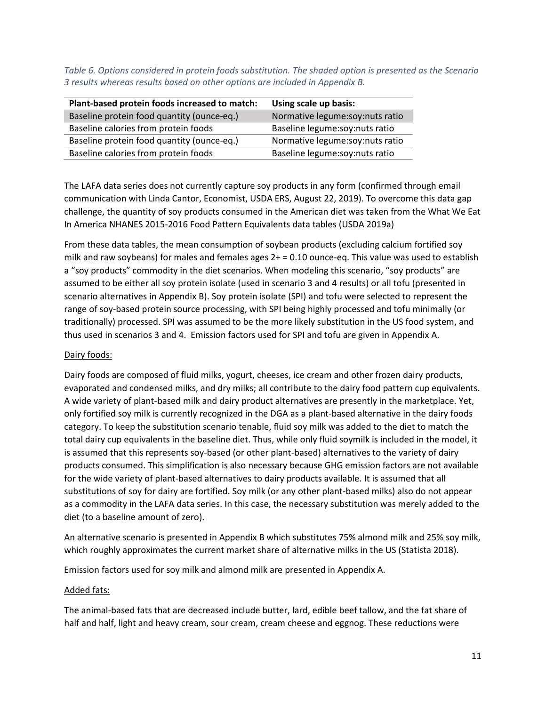<span id="page-13-0"></span>*Table 6. Options considered in protein foods substitution. The shaded option is presented as the Scenario 3 results whereas results based on other options are included in Appendix B.*

| Plant-based protein foods increased to match: | Using scale up basis:           |
|-----------------------------------------------|---------------------------------|
| Baseline protein food quantity (ounce-eq.)    | Normative legume:soy:nuts ratio |
| Baseline calories from protein foods          | Baseline legume:soy:nuts ratio  |
| Baseline protein food quantity (ounce-eq.)    | Normative legume:soy:nuts ratio |
| Baseline calories from protein foods          | Baseline legume:soy:nuts ratio  |

The LAFA data series does not currently capture soy products in any form (confirmed through email communication with Linda Cantor, Economist, USDA ERS, August 22, 2019). To overcome this data gap challenge, the quantity of soy products consumed in the American diet was taken from the What We Eat In America NHANES 2015-2016 Food Pattern Equivalents data tables (USDA 2019a)

From these data tables, the mean consumption of soybean products (excluding calcium fortified soy milk and raw soybeans) for males and females ages 2+ = 0.10 ounce-eq. This value was used to establish a "soy products" commodity in the diet scenarios. When modeling this scenario, "soy products" are assumed to be either all soy protein isolate (used in scenario 3 and 4 results) or all tofu (presented in scenario alternatives in Appendix B). Soy protein isolate (SPI) and tofu were selected to represent the range of soy-based protein source processing, with SPI being highly processed and tofu minimally (or traditionally) processed. SPI was assumed to be the more likely substitution in the US food system, and thus used in scenarios 3 and 4. Emission factors used for SPI and tofu are given in Appendix A.

#### Dairy foods:

Dairy foods are composed of fluid milks, yogurt, cheeses, ice cream and other frozen dairy products, evaporated and condensed milks, and dry milks; all contribute to the dairy food pattern cup equivalents. A wide variety of plant-based milk and dairy product alternatives are presently in the marketplace. Yet, only fortified soy milk is currently recognized in the DGA as a plant-based alternative in the dairy foods category. To keep the substitution scenario tenable, fluid soy milk was added to the diet to match the total dairy cup equivalents in the baseline diet. Thus, while only fluid soymilk is included in the model, it is assumed that this represents soy-based (or other plant-based) alternatives to the variety of dairy products consumed. This simplification is also necessary because GHG emission factors are not available for the wide variety of plant-based alternatives to dairy products available. It is assumed that all substitutions of soy for dairy are fortified. Soy milk (or any other plant-based milks) also do not appear as a commodity in the LAFA data series. In this case, the necessary substitution was merely added to the diet (to a baseline amount of zero).

An alternative scenario is presented in Appendix B which substitutes 75% almond milk and 25% soy milk, which roughly approximates the current market share of alternative milks in the US (Statista 2018).

Emission factors used for soy milk and almond milk are presented in Appendix A.

#### Added fats:

The animal-based fats that are decreased include butter, lard, edible beef tallow, and the fat share of half and half, light and heavy cream, sour cream, cream cheese and eggnog. These reductions were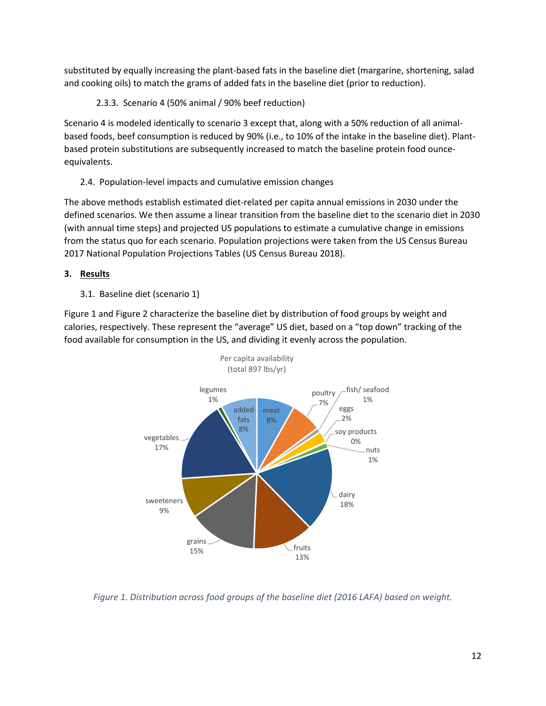substituted by equally increasing the plant-based fats in the baseline diet (margarine, shortening, salad and cooking oils) to match the grams of added fats in the baseline diet (prior to reduction).

<span id="page-14-0"></span>2.3.3. Scenario 4 (50% animal / 90% beef reduction)

Scenario 4 is modeled identically to scenario 3 except that, along with a 50% reduction of all animalbased foods, beef consumption is reduced by 90% (i.e., to 10% of the intake in the baseline diet). Plantbased protein substitutions are subsequently increased to match the baseline protein food ounceequivalents.

<span id="page-14-1"></span>2.4. Population-level impacts and cumulative emission changes

The above methods establish estimated diet-related per capita annual emissions in 2030 under the defined scenarios. We then assume a linear transition from the baseline diet to the scenario diet in 2030 (with annual time steps) and projected US populations to estimate a cumulative change in emissions from the status quo for each scenario. Population projections were taken from the US Census Bureau 2017 National Population Projections Tables (US Census Bureau 2018).

- <span id="page-14-3"></span><span id="page-14-2"></span>**3. Results**
	- 3.1. Baseline diet (scenario 1)

[Figure 1](#page-14-4) an[d Figure 2](#page-15-0) characterize the baseline diet by distribution of food groups by weight and calories, respectively. These represent the "average" US diet, based on a "top down" tracking of the food available for consumption in the US, and dividing it evenly across the population.



<span id="page-14-4"></span>*Figure 1. Distribution across food groups of the baseline diet (2016 LAFA) based on weight.*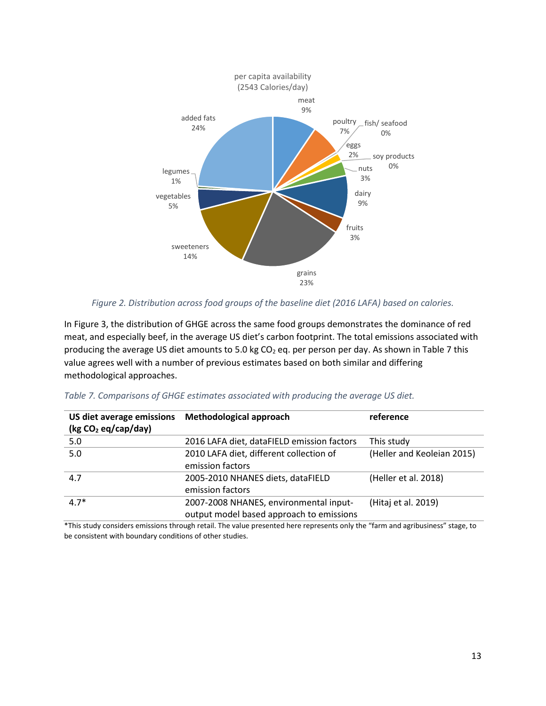

*Figure 2. Distribution across food groups of the baseline diet (2016 LAFA) based on calories.*

<span id="page-15-0"></span>In [Figure 3,](#page-16-0) the distribution of GHGE across the same food groups demonstrates the dominance of red meat, and especially beef, in the average US diet's carbon footprint. The total emissions associated with producing the average US diet amounts to 5.0 kg CO<sub>2</sub> eq. per person per day. As shown in [Table 7](#page-15-1) this value agrees well with a number of previous estimates based on both similar and differing methodological approaches.

| US diet average emissions<br>(kg CO <sub>2</sub> eq/cap/day) | <b>Methodological approach</b>                                                     | reference                  |
|--------------------------------------------------------------|------------------------------------------------------------------------------------|----------------------------|
| 5.0                                                          | 2016 LAFA diet, dataFIELD emission factors                                         | This study                 |
| 5.0                                                          | 2010 LAFA diet, different collection of<br>emission factors                        | (Heller and Keoleian 2015) |
| 4.7                                                          | 2005-2010 NHANES diets, dataFIELD<br>emission factors                              | (Heller et al. 2018)       |
| $4.7*$                                                       | 2007-2008 NHANES, environmental input-<br>output model based approach to emissions | (Hitaj et al. 2019)        |

<span id="page-15-1"></span>

|  | Table 7. Comparisons of GHGE estimates associated with producing the average US diet. |  |  |  |  |  |
|--|---------------------------------------------------------------------------------------|--|--|--|--|--|
|  |                                                                                       |  |  |  |  |  |

\*This study considers emissions through retail. The value presented here represents only the "farm and agribusiness" stage, to be consistent with boundary conditions of other studies.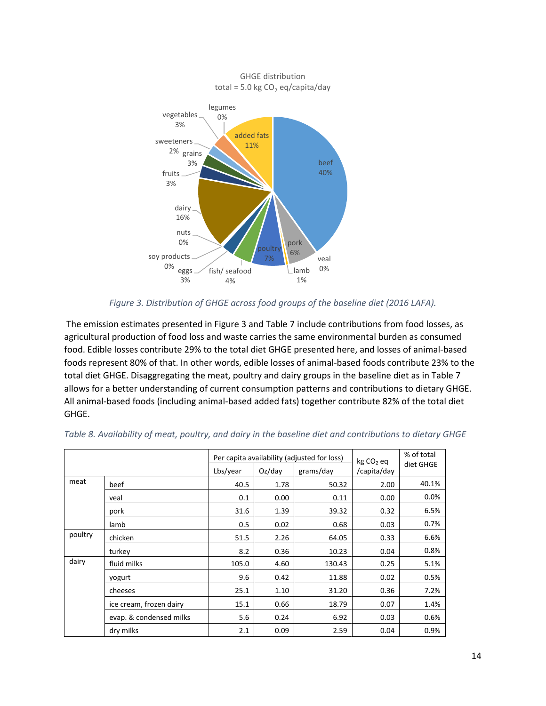

#### *Figure 3. Distribution of GHGE across food groups of the baseline diet (2016 LAFA).*

<span id="page-16-0"></span>The emission estimates presented in [Figure 3](#page-16-0) and [Table 7](#page-15-1) include contributions from food losses, as agricultural production of food loss and waste carries the same environmental burden as consumed food. Edible losses contribute 29% to the total diet GHGE presented here, and losses of animal-based foods represent 80% of that. In other words, edible losses of animal-based foods contribute 23% to the total diet GHGE. Disaggregating the meat, poultry and dairy groups in the baseline diet as in [Table 7](#page-16-1) allows for a better understanding of current consumption patterns and contributions to dietary GHGE. All animal-based foods (including animal-based added fats) together contribute 82% of the total diet GHGE.

|         |                         | Per capita availability (adjusted for loss) |                        | kg CO <sub>2</sub> eq | % of total<br>diet GHGE |       |
|---------|-------------------------|---------------------------------------------|------------------------|-----------------------|-------------------------|-------|
|         |                         | Lbs/year                                    | $Oz$ /day<br>grams/day |                       |                         |       |
| meat    | beef                    | 40.5                                        | 1.78                   | 50.32                 | 2.00                    | 40.1% |
|         | veal                    | 0.1                                         | 0.00                   | 0.11                  | 0.00                    | 0.0%  |
|         | pork                    | 31.6                                        | 1.39                   | 39.32                 | 0.32                    | 6.5%  |
|         | lamb                    | 0.5                                         | 0.02                   | 0.68                  | 0.03                    | 0.7%  |
| poultry | chicken                 | 51.5                                        | 2.26                   | 64.05                 | 0.33                    | 6.6%  |
|         | turkey                  | 8.2                                         | 0.36                   | 10.23                 | 0.04                    | 0.8%  |
| dairy   | fluid milks             | 105.0                                       | 4.60                   | 130.43                | 0.25                    | 5.1%  |
|         | yogurt                  | 9.6                                         | 0.42                   | 11.88                 | 0.02                    | 0.5%  |
|         | cheeses                 | 25.1                                        | 1.10                   | 31.20                 | 0.36                    | 7.2%  |
|         | ice cream, frozen dairy | 15.1                                        | 0.66                   | 18.79                 | 0.07                    | 1.4%  |
|         | evap. & condensed milks | 5.6                                         | 0.24                   | 6.92                  | 0.03                    | 0.6%  |
|         | dry milks               | 2.1                                         | 0.09                   | 2.59                  | 0.04                    | 0.9%  |

<span id="page-16-1"></span>

|  |  |  |  | Table 8. Availability of meat, poultry, and dairy in the baseline diet and contributions to dietary GHGE |  |
|--|--|--|--|----------------------------------------------------------------------------------------------------------|--|
|  |  |  |  |                                                                                                          |  |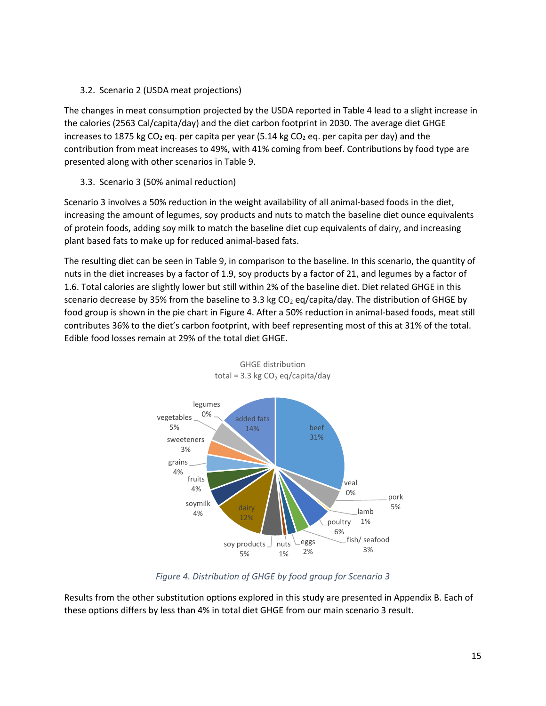#### <span id="page-17-0"></span>3.2. Scenario 2 (USDA meat projections)

The changes in meat consumption projected by the USDA reported i[n Table 4](#page-11-2) lead to a slight increase in the calories (2563 Cal/capita/day) and the diet carbon footprint in 2030. The average diet GHGE increases to 1875 kg CO<sub>2</sub> eq. per capita per year (5.14 kg CO<sub>2</sub> eq. per capita per day) and the contribution from meat increases to 49%, with 41% coming from beef. Contributions by food type are presented along with other scenarios in Table 9.

## <span id="page-17-1"></span>3.3. Scenario 3 (50% animal reduction)

Scenario 3 involves a 50% reduction in the weight availability of all animal-based foods in the diet, increasing the amount of legumes, soy products and nuts to match the baseline diet ounce equivalents of protein foods, adding soy milk to match the baseline diet cup equivalents of dairy, and increasing plant based fats to make up for reduced animal-based fats.

The resulting diet can be seen in [Table 9,](#page-19-0) in comparison to the baseline. In this scenario, the quantity of nuts in the diet increases by a factor of 1.9, soy products by a factor of 21, and legumes by a factor of 1.6. Total calories are slightly lower but still within 2% of the baseline diet. Diet related GHGE in this scenario decrease by 35% from the baseline to 3.3 kg  $CO<sub>2</sub>$  eq/capita/day. The distribution of GHGE by food group is shown in the pie chart i[n Figure 4.](#page-17-2) After a 50% reduction in animal-based foods, meat still contributes 36% to the diet's carbon footprint, with beef representing most of this at 31% of the total. Edible food losses remain at 29% of the total diet GHGE.



GHGE distribution total = 3.3 kg  $CO$ <sub>2</sub> eq/capita/day

## *Figure 4. Distribution of GHGE by food group for Scenario 3*

<span id="page-17-2"></span>Results from the other substitution options explored in this study are presented in Appendix B. Each of these options differs by less than 4% in total diet GHGE from our main scenario 3 result.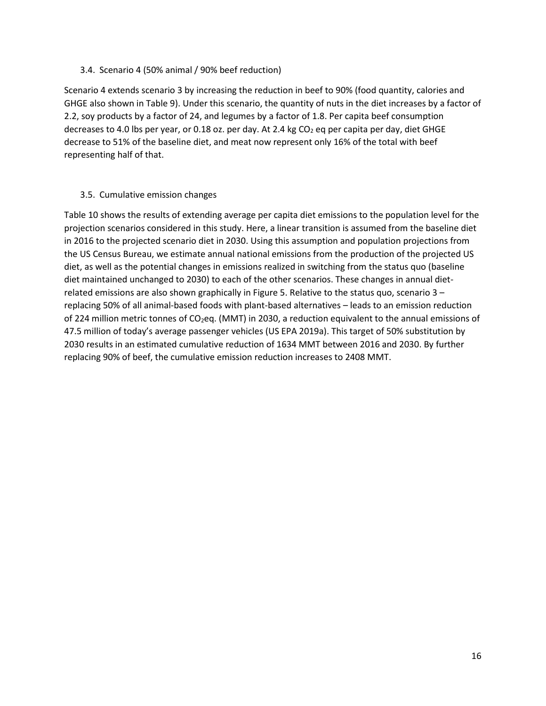#### <span id="page-18-0"></span>3.4. Scenario 4 (50% animal / 90% beef reduction)

Scenario 4 extends scenario 3 by increasing the reduction in beef to 90% (food quantity, calories and GHGE also shown in [Table 9\)](#page-19-0). Under this scenario, the quantity of nuts in the diet increases by a factor of 2.2, soy products by a factor of 24, and legumes by a factor of 1.8. Per capita beef consumption decreases to 4.0 lbs per year, or 0.18 oz. per day. At 2.4 kg  $CO<sub>2</sub>$  eq per capita per day, diet GHGE decrease to 51% of the baseline diet, and meat now represent only 16% of the total with beef representing half of that.

#### <span id="page-18-1"></span>3.5. Cumulative emission changes

[Table 10](#page-19-0) shows the results of extending average per capita diet emissions to the population level for the projection scenarios considered in this study. Here, a linear transition is assumed from the baseline diet in 2016 to the projected scenario diet in 2030. Using this assumption and population projections from the US Census Bureau, we estimate annual national emissions from the production of the projected US diet, as well as the potential changes in emissions realized in switching from the status quo (baseline diet maintained unchanged to 2030) to each of the other scenarios. These changes in annual dietrelated emissions are also shown graphically in [Figure 5.](#page-21-1) Relative to the status quo, scenario 3 – replacing 50% of all animal-based foods with plant-based alternatives – leads to an emission reduction of 224 million metric tonnes of CO<sub>2</sub>eq. (MMT) in 2030, a reduction equivalent to the annual emissions of 47.5 million of today's average passenger vehicles (US EPA 2019a). This target of 50% substitution by 2030 results in an estimated cumulative reduction of 1634 MMT between 2016 and 2030. By further replacing 90% of beef, the cumulative emission reduction increases to 2408 MMT.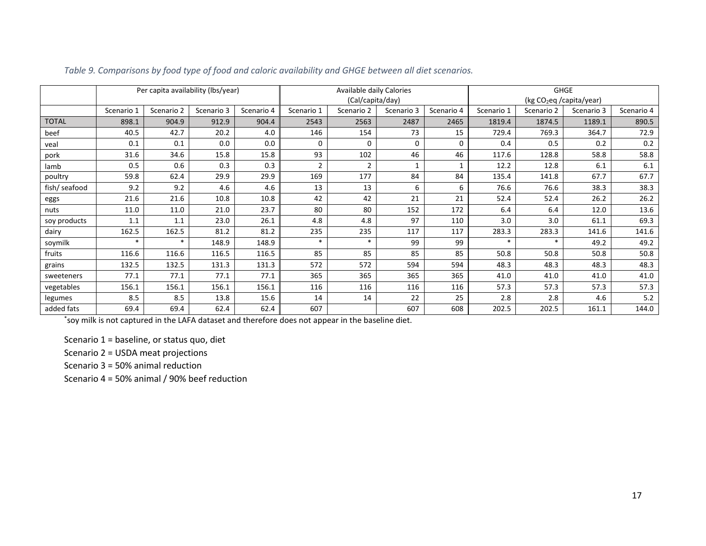|               | Per capita availability (lbs/year) |            |            | Available daily Calories<br>(Cal/capita/day) |                |                |            | <b>GHGE</b><br>(kg CO <sub>2</sub> eq /capita/year) |            |            |            |            |
|---------------|------------------------------------|------------|------------|----------------------------------------------|----------------|----------------|------------|-----------------------------------------------------|------------|------------|------------|------------|
|               | Scenario 1                         | Scenario 2 | Scenario 3 | Scenario 4                                   | Scenario 1     | Scenario 2     | Scenario 3 | Scenario 4                                          | Scenario 1 | Scenario 2 | Scenario 3 | Scenario 4 |
| <b>TOTAL</b>  | 898.1                              | 904.9      | 912.9      | 904.4                                        | 2543           | 2563           | 2487       | 2465                                                | 1819.4     | 1874.5     | 1189.1     | 890.5      |
| beef          | 40.5                               | 42.7       | 20.2       | 4.0                                          | 146            | 154            | 73         | 15                                                  | 729.4      | 769.3      | 364.7      | 72.9       |
| veal          | 0.1                                | 0.1        | 0.0        | 0.0                                          | $\Omega$       | $\Omega$       | 0          | $\Omega$                                            | 0.4        | 0.5        | 0.2        | 0.2        |
| pork          | 31.6                               | 34.6       | 15.8       | 15.8                                         | 93             | 102            | 46         | 46                                                  | 117.6      | 128.8      | 58.8       | 58.8       |
| lamb          | 0.5                                | 0.6        | 0.3        | 0.3                                          | $\overline{2}$ | $\overline{2}$ |            |                                                     | 12.2       | 12.8       | 6.1        | 6.1        |
| poultry       | 59.8                               | 62.4       | 29.9       | 29.9                                         | 169            | 177            | 84         | 84                                                  | 135.4      | 141.8      | 67.7       | 67.7       |
| fish/ seafood | 9.2                                | 9.2        | 4.6        | 4.6                                          | 13             | 13             | 6          | 6                                                   | 76.6       | 76.6       | 38.3       | 38.3       |
| eggs          | 21.6                               | 21.6       | 10.8       | 10.8                                         | 42             | 42             | 21         | 21                                                  | 52.4       | 52.4       | 26.2       | 26.2       |
| nuts          | 11.0                               | 11.0       | 21.0       | 23.7                                         | 80             | 80             | 152        | 172                                                 | 6.4        | 6.4        | 12.0       | 13.6       |
| soy products  | 1.1                                | 1.1        | 23.0       | 26.1                                         | 4.8            | 4.8            | 97         | 110                                                 | 3.0        | 3.0        | 61.1       | 69.3       |
| dairy         | 162.5                              | 162.5      | 81.2       | 81.2                                         | 235            | 235            | 117        | 117                                                 | 283.3      | 283.3      | 141.6      | 141.6      |
| soymilk       | $\star$                            | $\ast$     | 148.9      | 148.9                                        | $\ast$         | $\ast$         | 99         | 99                                                  | *          | $\ast$     | 49.2       | 49.2       |
| fruits        | 116.6                              | 116.6      | 116.5      | 116.5                                        | 85             | 85             | 85         | 85                                                  | 50.8       | 50.8       | 50.8       | 50.8       |
| grains        | 132.5                              | 132.5      | 131.3      | 131.3                                        | 572            | 572            | 594        | 594                                                 | 48.3       | 48.3       | 48.3       | 48.3       |
| sweeteners    | 77.1                               | 77.1       | 77.1       | 77.1                                         | 365            | 365            | 365        | 365                                                 | 41.0       | 41.0       | 41.0       | 41.0       |
| vegetables    | 156.1                              | 156.1      | 156.1      | 156.1                                        | 116            | 116            | 116        | 116                                                 | 57.3       | 57.3       | 57.3       | 57.3       |
| legumes       | 8.5                                | 8.5        | 13.8       | 15.6                                         | 14             | 14             | 22         | 25                                                  | 2.8        | 2.8        | 4.6        | 5.2        |
| added fats    | 69.4                               | 69.4       | 62.4       | 62.4                                         | 607            |                | 607        | 608                                                 | 202.5      | 202.5      | 161.1      | 144.0      |

*Table 9. Comparisons by food type of food and caloric availability and GHGE between all diet scenarios.*

<span id="page-19-0"></span>\* soy milk is not captured in the LAFA dataset and therefore does not appear in the baseline diet.

Scenario 1 = baseline, or status quo, diet

Scenario 2 = USDA meat projections

Scenario 3 = 50% animal reduction

Scenario 4 = 50% animal / 90% beef reduction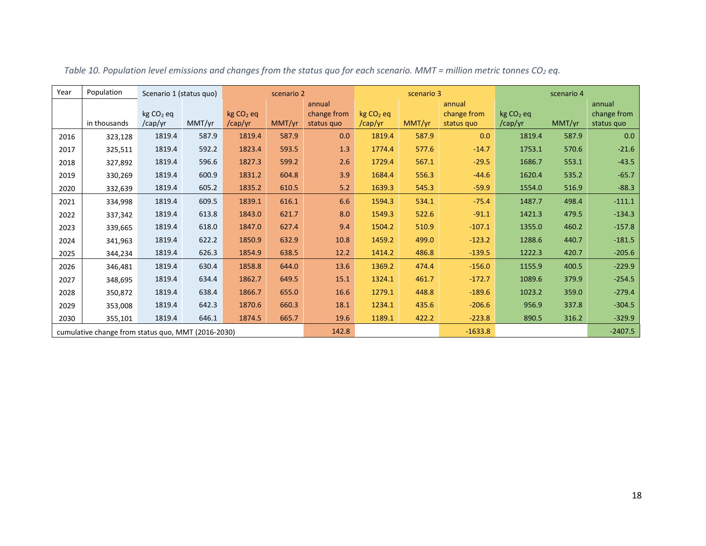<span id="page-20-0"></span>

| Year | Population                                         | Scenario 1 (status quo) |        |                                  | scenario 2 |                                     | scenario 3                       |        |                                     | scenario 4             |        |                                     |
|------|----------------------------------------------------|-------------------------|--------|----------------------------------|------------|-------------------------------------|----------------------------------|--------|-------------------------------------|------------------------|--------|-------------------------------------|
|      | in thousands                                       | $kg CO2$ eq<br>/cap/yr  | MMT/yr | kg CO <sub>2</sub> eq<br>/cap/yr | MMT/yr     | annual<br>change from<br>status quo | kg CO <sub>2</sub> eq<br>/cap/yr | MMT/yr | annual<br>change from<br>status quo | $kg CO2$ eq<br>/cap/yr | MMT/yr | annual<br>change from<br>status quo |
| 2016 | 323,128                                            | 1819.4                  | 587.9  | 1819.4                           | 587.9      | 0.0                                 | 1819.4                           | 587.9  | 0.0                                 | 1819.4                 | 587.9  | 0.0                                 |
| 2017 | 325,511                                            | 1819.4                  | 592.2  | 1823.4                           | 593.5      | 1.3                                 | 1774.4                           | 577.6  | $-14.7$                             | 1753.1                 | 570.6  | $-21.6$                             |
| 2018 | 327,892                                            | 1819.4                  | 596.6  | 1827.3                           | 599.2      | 2.6                                 | 1729.4                           | 567.1  | $-29.5$                             | 1686.7                 | 553.1  | $-43.5$                             |
| 2019 | 330,269                                            | 1819.4                  | 600.9  | 1831.2                           | 604.8      | 3.9                                 | 1684.4                           | 556.3  | $-44.6$                             | 1620.4                 | 535.2  | $-65.7$                             |
| 2020 | 332,639                                            | 1819.4                  | 605.2  | 1835.2                           | 610.5      | 5.2                                 | 1639.3                           | 545.3  | $-59.9$                             | 1554.0                 | 516.9  | $-88.3$                             |
| 2021 | 334,998                                            | 1819.4                  | 609.5  | 1839.1                           | 616.1      | 6.6                                 | 1594.3                           | 534.1  | $-75.4$                             | 1487.7                 | 498.4  | $-111.1$                            |
| 2022 | 337,342                                            | 1819.4                  | 613.8  | 1843.0                           | 621.7      | 8.0                                 | 1549.3                           | 522.6  | $-91.1$                             | 1421.3                 | 479.5  | $-134.3$                            |
| 2023 | 339,665                                            | 1819.4                  | 618.0  | 1847.0                           | 627.4      | 9.4                                 | 1504.2                           | 510.9  | $-107.1$                            | 1355.0                 | 460.2  | $-157.8$                            |
| 2024 | 341,963                                            | 1819.4                  | 622.2  | 1850.9                           | 632.9      | 10.8                                | 1459.2                           | 499.0  | $-123.2$                            | 1288.6                 | 440.7  | $-181.5$                            |
| 2025 | 344,234                                            | 1819.4                  | 626.3  | 1854.9                           | 638.5      | 12.2                                | 1414.2                           | 486.8  | $-139.5$                            | 1222.3                 | 420.7  | $-205.6$                            |
| 2026 | 346,481                                            | 1819.4                  | 630.4  | 1858.8                           | 644.0      | 13.6                                | 1369.2                           | 474.4  | $-156.0$                            | 1155.9                 | 400.5  | $-229.9$                            |
| 2027 | 348,695                                            | 1819.4                  | 634.4  | 1862.7                           | 649.5      | 15.1                                | 1324.1                           | 461.7  | $-172.7$                            | 1089.6                 | 379.9  | $-254.5$                            |
| 2028 | 350,872                                            | 1819.4                  | 638.4  | 1866.7                           | 655.0      | 16.6                                | 1279.1                           | 448.8  | $-189.6$                            | 1023.2                 | 359.0  | $-279.4$                            |
| 2029 | 353,008                                            | 1819.4                  | 642.3  | 1870.6                           | 660.3      | 18.1                                | 1234.1                           | 435.6  | $-206.6$                            | 956.9                  | 337.8  | $-304.5$                            |
| 2030 | 355,101                                            | 1819.4                  | 646.1  | 1874.5                           | 665.7      | 19.6                                | 1189.1                           | 422.2  | $-223.8$                            | 890.5                  | 316.2  | $-329.9$                            |
|      | cumulative change from status quo, MMT (2016-2030) |                         |        |                                  |            | 142.8                               |                                  |        | $-1633.8$                           |                        |        | $-2407.5$                           |

*Table 10. Population level emissions and changes from the status quo for each scenario. MMT = million metric tonnes CO2 eq.*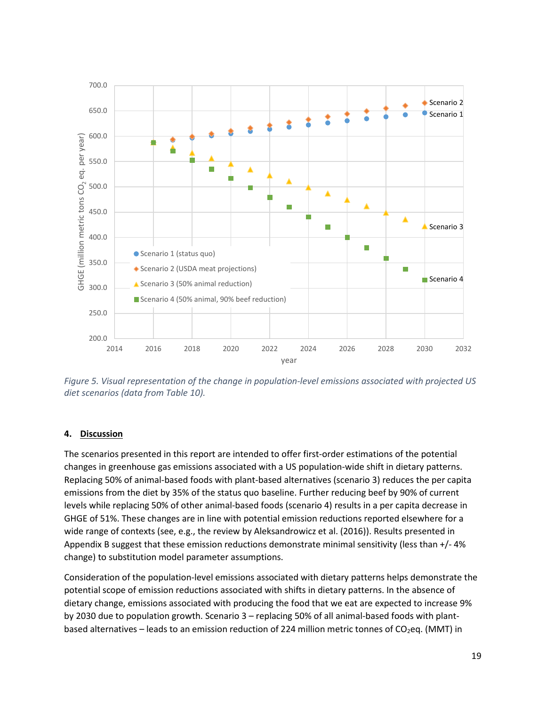

<span id="page-21-1"></span>*Figure 5. Visual representation of the change in population-level emissions associated with projected US diet scenarios (data from Table 10).*

#### <span id="page-21-0"></span>**4. Discussion**

The scenarios presented in this report are intended to offer first-order estimations of the potential changes in greenhouse gas emissions associated with a US population-wide shift in dietary patterns. Replacing 50% of animal-based foods with plant-based alternatives (scenario 3) reduces the per capita emissions from the diet by 35% of the status quo baseline. Further reducing beef by 90% of current levels while replacing 50% of other animal-based foods (scenario 4) results in a per capita decrease in GHGE of 51%. These changes are in line with potential emission reductions reported elsewhere for a wide range of contexts (see, e.g., the review by Aleksandrowicz et al. (2016)). Results presented in Appendix B suggest that these emission reductions demonstrate minimal sensitivity (less than +/- 4% change) to substitution model parameter assumptions.

Consideration of the population-level emissions associated with dietary patterns helps demonstrate the potential scope of emission reductions associated with shifts in dietary patterns. In the absence of dietary change, emissions associated with producing the food that we eat are expected to increase 9% by 2030 due to population growth. Scenario 3 – replacing 50% of all animal-based foods with plantbased alternatives – leads to an emission reduction of 224 million metric tonnes of  $CO<sub>2</sub>$ eq. (MMT) in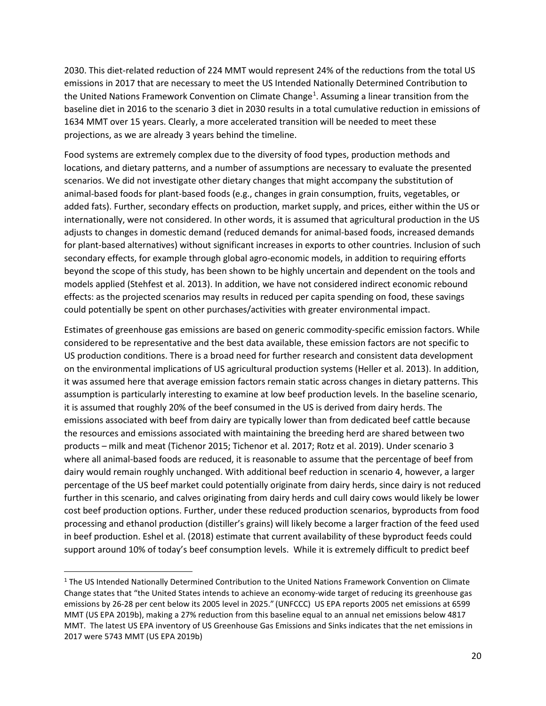2030. This diet-related reduction of 224 MMT would represent 24% of the reductions from the total US emissions in 2017 that are necessary to meet the US Intended Nationally Determined Contribution to the United Nations Framework Convention on Climate Change<sup>[1](#page-22-0)</sup>. Assuming a linear transition from the baseline diet in 2016 to the scenario 3 diet in 2030 results in a total cumulative reduction in emissions of 1634 MMT over 15 years. Clearly, a more accelerated transition will be needed to meet these projections, as we are already 3 years behind the timeline.

Food systems are extremely complex due to the diversity of food types, production methods and locations, and dietary patterns, and a number of assumptions are necessary to evaluate the presented scenarios. We did not investigate other dietary changes that might accompany the substitution of animal-based foods for plant-based foods (e.g., changes in grain consumption, fruits, vegetables, or added fats). Further, secondary effects on production, market supply, and prices, either within the US or internationally, were not considered. In other words, it is assumed that agricultural production in the US adjusts to changes in domestic demand (reduced demands for animal-based foods, increased demands for plant-based alternatives) without significant increases in exports to other countries. Inclusion of such secondary effects, for example through global agro-economic models, in addition to requiring efforts beyond the scope of this study, has been shown to be highly uncertain and dependent on the tools and models applied (Stehfest et al. 2013). In addition, we have not considered indirect economic rebound effects: as the projected scenarios may results in reduced per capita spending on food, these savings could potentially be spent on other purchases/activities with greater environmental impact.

Estimates of greenhouse gas emissions are based on generic commodity-specific emission factors. While considered to be representative and the best data available, these emission factors are not specific to US production conditions. There is a broad need for further research and consistent data development on the environmental implications of US agricultural production systems (Heller et al. 2013). In addition, it was assumed here that average emission factors remain static across changes in dietary patterns. This assumption is particularly interesting to examine at low beef production levels. In the baseline scenario, it is assumed that roughly 20% of the beef consumed in the US is derived from dairy herds. The emissions associated with beef from dairy are typically lower than from dedicated beef cattle because the resources and emissions associated with maintaining the breeding herd are shared between two products – milk and meat (Tichenor 2015; Tichenor et al. 2017; Rotz et al. 2019). Under scenario 3 where all animal-based foods are reduced, it is reasonable to assume that the percentage of beef from dairy would remain roughly unchanged. With additional beef reduction in scenario 4, however, a larger percentage of the US beef market could potentially originate from dairy herds, since dairy is not reduced further in this scenario, and calves originating from dairy herds and cull dairy cows would likely be lower cost beef production options. Further, under these reduced production scenarios, byproducts from food processing and ethanol production (distiller's grains) will likely become a larger fraction of the feed used in beef production. Eshel et al. (2018) estimate that current availability of these byproduct feeds could support around 10% of today's beef consumption levels. While it is extremely difficult to predict beef

<span id="page-22-0"></span><sup>&</sup>lt;sup>1</sup> The US Intended Nationally Determined Contribution to the United Nations Framework Convention on Climate Change states that "the United States intends to achieve an economy-wide target of reducing its greenhouse gas emissions by 26-28 per cent below its 2005 level in 2025." (UNFCCC) US EPA reports 2005 net emissions at 6599 MMT (US EPA 2019b), making a 27% reduction from this baseline equal to an annual net emissions below 4817 MMT. The latest US EPA inventory of US Greenhouse Gas Emissions and Sinks indicates that the net emissions in 2017 were 5743 MMT (US EPA 2019b)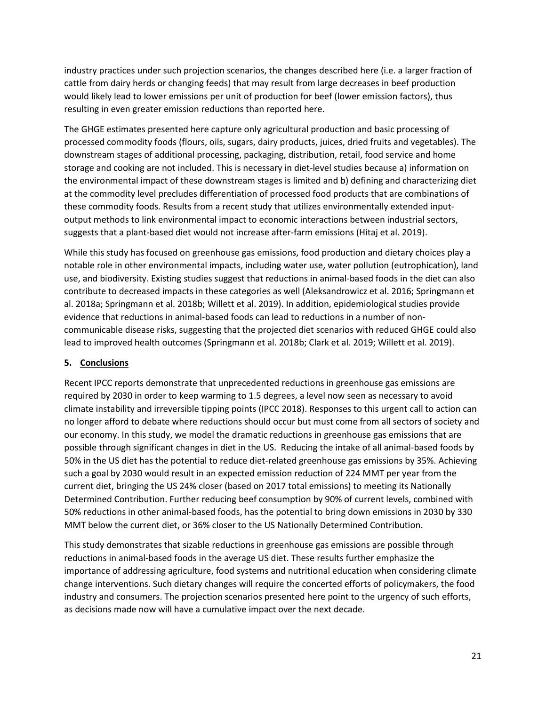industry practices under such projection scenarios, the changes described here (i.e. a larger fraction of cattle from dairy herds or changing feeds) that may result from large decreases in beef production would likely lead to lower emissions per unit of production for beef (lower emission factors), thus resulting in even greater emission reductions than reported here.

The GHGE estimates presented here capture only agricultural production and basic processing of processed commodity foods (flours, oils, sugars, dairy products, juices, dried fruits and vegetables). The downstream stages of additional processing, packaging, distribution, retail, food service and home storage and cooking are not included. This is necessary in diet-level studies because a) information on the environmental impact of these downstream stages is limited and b) defining and characterizing diet at the commodity level precludes differentiation of processed food products that are combinations of these commodity foods. Results from a recent study that utilizes environmentally extended inputoutput methods to link environmental impact to economic interactions between industrial sectors, suggests that a plant-based diet would not increase after-farm emissions (Hitaj et al. 2019).

While this study has focused on greenhouse gas emissions, food production and dietary choices play a notable role in other environmental impacts, including water use, water pollution (eutrophication), land use, and biodiversity. Existing studies suggest that reductions in animal-based foods in the diet can also contribute to decreased impacts in these categories as well (Aleksandrowicz et al. 2016; Springmann et al. 2018a; Springmann et al. 2018b; Willett et al. 2019). In addition, epidemiological studies provide evidence that reductions in animal-based foods can lead to reductions in a number of noncommunicable disease risks, suggesting that the projected diet scenarios with reduced GHGE could also lead to improved health outcomes (Springmann et al. 2018b; Clark et al. 2019; Willett et al. 2019).

#### <span id="page-23-0"></span>**5. Conclusions**

Recent IPCC reports demonstrate that unprecedented reductions in greenhouse gas emissions are required by 2030 in order to keep warming to 1.5 degrees, a level now seen as necessary to avoid climate instability and irreversible tipping points (IPCC 2018). Responses to this urgent call to action can no longer afford to debate where reductions should occur but must come from all sectors of society and our economy. In this study, we model the dramatic reductions in greenhouse gas emissions that are possible through significant changes in diet in the US. Reducing the intake of all animal-based foods by 50% in the US diet has the potential to reduce diet-related greenhouse gas emissions by 35%. Achieving such a goal by 2030 would result in an expected emission reduction of 224 MMT per year from the current diet, bringing the US 24% closer (based on 2017 total emissions) to meeting its Nationally Determined Contribution. Further reducing beef consumption by 90% of current levels, combined with 50% reductions in other animal-based foods, has the potential to bring down emissions in 2030 by 330 MMT below the current diet, or 36% closer to the US Nationally Determined Contribution.

This study demonstrates that sizable reductions in greenhouse gas emissions are possible through reductions in animal-based foods in the average US diet. These results further emphasize the importance of addressing agriculture, food systems and nutritional education when considering climate change interventions. Such dietary changes will require the concerted efforts of policymakers, the food industry and consumers. The projection scenarios presented here point to the urgency of such efforts, as decisions made now will have a cumulative impact over the next decade.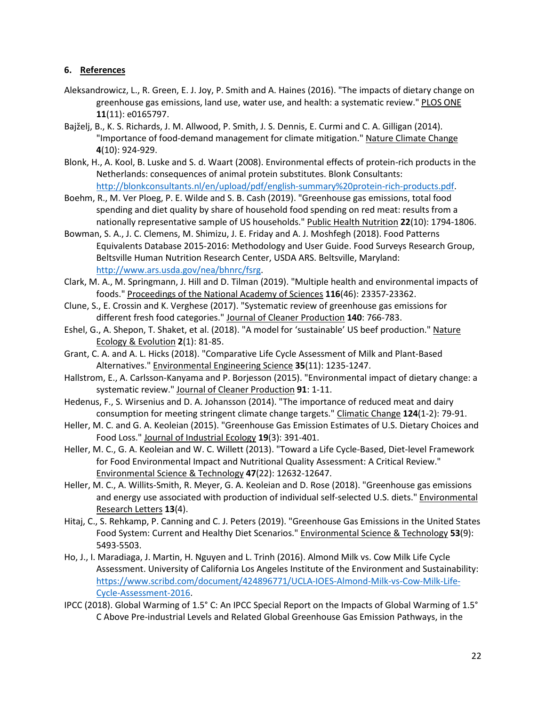#### <span id="page-24-0"></span>**6. References**

- Aleksandrowicz, L., R. Green, E. J. Joy, P. Smith and A. Haines (2016). "The impacts of dietary change on greenhouse gas emissions, land use, water use, and health: a systematic review." PLOS ONE **11**(11): e0165797.
- Bajželj, B., K. S. Richards, J. M. Allwood, P. Smith, J. S. Dennis, E. Curmi and C. A. Gilligan (2014). "Importance of food-demand management for climate mitigation." Nature Climate Change **4**(10): 924-929.
- Blonk, H., A. Kool, B. Luske and S. d. Waart (2008). Environmental effects of protein-rich products in the Netherlands: consequences of animal protein substitutes. Blonk Consultants: [http://blonkconsultants.nl/en/upload/pdf/english-summary%20protein-rich-products.pdf.](http://blonkconsultants.nl/en/upload/pdf/english-summary%20protein-rich-products.pdf)
- Boehm, R., M. Ver Ploeg, P. E. Wilde and S. B. Cash (2019). "Greenhouse gas emissions, total food spending and diet quality by share of household food spending on red meat: results from a nationally representative sample of US households." Public Health Nutrition **22**(10): 1794-1806.
- Bowman, S. A., J. C. Clemens, M. Shimizu, J. E. Friday and A. J. Moshfegh (2018). Food Patterns Equivalents Database 2015-2016: Methodology and User Guide. Food Surveys Research Group, Beltsville Human Nutrition Research Center, USDA ARS. Beltsville, Maryland: [http://www.ars.usda.gov/nea/bhnrc/fsrg.](http://www.ars.usda.gov/nea/bhnrc/fsrg)
- Clark, M. A., M. Springmann, J. Hill and D. Tilman (2019). "Multiple health and environmental impacts of foods." Proceedings of the National Academy of Sciences **116**(46): 23357-23362.
- Clune, S., E. Crossin and K. Verghese (2017). "Systematic review of greenhouse gas emissions for different fresh food categories." Journal of Cleaner Production **140**: 766-783.
- Eshel, G., A. Shepon, T. Shaket, et al. (2018). "A model for 'sustainable' US beef production." Nature Ecology & Evolution **2**(1): 81-85.
- Grant, C. A. and A. L. Hicks (2018). "Comparative Life Cycle Assessment of Milk and Plant-Based Alternatives." Environmental Engineering Science **35**(11): 1235-1247.
- Hallstrom, E., A. Carlsson-Kanyama and P. Borjesson (2015). "Environmental impact of dietary change: a systematic review." Journal of Cleaner Production **91**: 1-11.
- Hedenus, F., S. Wirsenius and D. A. Johansson (2014). "The importance of reduced meat and dairy consumption for meeting stringent climate change targets." Climatic Change **124**(1-2): 79-91.
- Heller, M. C. and G. A. Keoleian (2015). "Greenhouse Gas Emission Estimates of U.S. Dietary Choices and Food Loss." Journal of Industrial Ecology **19**(3): 391-401.
- Heller, M. C., G. A. Keoleian and W. C. Willett (2013). "Toward a Life Cycle-Based, Diet-level Framework for Food Environmental Impact and Nutritional Quality Assessment: A Critical Review." Environmental Science & Technology **47**(22): 12632-12647.
- Heller, M. C., A. Willits-Smith, R. Meyer, G. A. Keoleian and D. Rose (2018). "Greenhouse gas emissions and energy use associated with production of individual self-selected U.S. diets." **Environmental** Research Letters **13**(4).
- Hitaj, C., S. Rehkamp, P. Canning and C. J. Peters (2019). "Greenhouse Gas Emissions in the United States Food System: Current and Healthy Diet Scenarios." Environmental Science & Technology **53**(9): 5493-5503.
- Ho, J., I. Maradiaga, J. Martin, H. Nguyen and L. Trinh (2016). Almond Milk vs. Cow Milk Life Cycle Assessment. University of California Los Angeles Institute of the Environment and Sustainability: [https://www.scribd.com/document/424896771/UCLA-IOES-Almond-Milk-vs-Cow-Milk-Life-](https://www.scribd.com/document/424896771/UCLA-IOES-Almond-Milk-vs-Cow-Milk-Life-Cycle-Assessment-2016)[Cycle-Assessment-2016.](https://www.scribd.com/document/424896771/UCLA-IOES-Almond-Milk-vs-Cow-Milk-Life-Cycle-Assessment-2016)
- IPCC (2018). Global Warming of 1.5° C: An IPCC Special Report on the Impacts of Global Warming of 1.5° C Above Pre-industrial Levels and Related Global Greenhouse Gas Emission Pathways, in the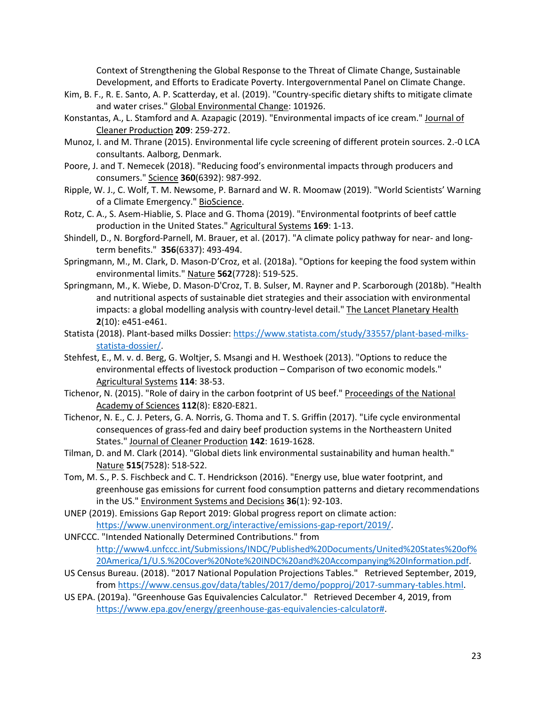Context of Strengthening the Global Response to the Threat of Climate Change, Sustainable Development, and Efforts to Eradicate Poverty. Intergovernmental Panel on Climate Change.

- Kim, B. F., R. E. Santo, A. P. Scatterday, et al. (2019). "Country-specific dietary shifts to mitigate climate and water crises." Global Environmental Change: 101926.
- Konstantas, A., L. Stamford and A. Azapagic (2019). "Environmental impacts of ice cream." Journal of Cleaner Production **209**: 259-272.
- Munoz, I. and M. Thrane (2015). Environmental life cycle screening of different protein sources. 2.-0 LCA consultants. Aalborg, Denmark.
- Poore, J. and T. Nemecek (2018). "Reducing food's environmental impacts through producers and consumers." Science **360**(6392): 987-992.
- Ripple, W. J., C. Wolf, T. M. Newsome, P. Barnard and W. R. Moomaw (2019). "World Scientists' Warning of a Climate Emergency." BioScience.
- Rotz, C. A., S. Asem-Hiablie, S. Place and G. Thoma (2019). "Environmental footprints of beef cattle production in the United States." Agricultural Systems **169**: 1-13.
- Shindell, D., N. Borgford-Parnell, M. Brauer, et al. (2017). "A climate policy pathway for near- and longterm benefits." **356**(6337): 493-494.
- Springmann, M., M. Clark, D. Mason-D'Croz, et al. (2018a). "Options for keeping the food system within environmental limits." Nature **562**(7728): 519-525.
- Springmann, M., K. Wiebe, D. Mason-D'Croz, T. B. Sulser, M. Rayner and P. Scarborough (2018b). "Health and nutritional aspects of sustainable diet strategies and their association with environmental impacts: a global modelling analysis with country-level detail." The Lancet Planetary Health **2**(10): e451-e461.
- Statista (2018). Plant-based milks Dossier[: https://www.statista.com/study/33557/plant-based-milks](https://www.statista.com/study/33557/plant-based-milks-statista-dossier/)[statista-dossier/.](https://www.statista.com/study/33557/plant-based-milks-statista-dossier/)
- Stehfest, E., M. v. d. Berg, G. Woltjer, S. Msangi and H. Westhoek (2013). "Options to reduce the environmental effects of livestock production – Comparison of two economic models." Agricultural Systems **114**: 38-53.
- Tichenor, N. (2015). "Role of dairy in the carbon footprint of US beef." Proceedings of the National Academy of Sciences **112**(8): E820-E821.
- Tichenor, N. E., C. J. Peters, G. A. Norris, G. Thoma and T. S. Griffin (2017). "Life cycle environmental consequences of grass-fed and dairy beef production systems in the Northeastern United States." Journal of Cleaner Production **142**: 1619-1628.
- Tilman, D. and M. Clark (2014). "Global diets link environmental sustainability and human health." Nature **515**(7528): 518-522.
- Tom, M. S., P. S. Fischbeck and C. T. Hendrickson (2016). "Energy use, blue water footprint, and greenhouse gas emissions for current food consumption patterns and dietary recommendations in the US." Environment Systems and Decisions **36**(1): 92-103.
- UNEP (2019). Emissions Gap Report 2019: Global progress report on climate action: [https://www.unenvironment.org/interactive/emissions-gap-report/2019/.](https://www.unenvironment.org/interactive/emissions-gap-report/2019/)
- UNFCCC. "Intended Nationally Determined Contributions." from [http://www4.unfccc.int/Submissions/INDC/Published%20Documents/United%20States%20of%](http://www4.unfccc.int/Submissions/INDC/Published%20Documents/United%20States%20of%20America/1/U.S.%20Cover%20Note%20INDC%20and%20Accompanying%20Information.pdf) [20America/1/U.S.%20Cover%20Note%20INDC%20and%20Accompanying%20Information.pdf.](http://www4.unfccc.int/Submissions/INDC/Published%20Documents/United%20States%20of%20America/1/U.S.%20Cover%20Note%20INDC%20and%20Accompanying%20Information.pdf)
- US Census Bureau. (2018). "2017 National Population Projections Tables." Retrieved September, 2019, from [https://www.census.gov/data/tables/2017/demo/popproj/2017-summary-tables.html.](https://www.census.gov/data/tables/2017/demo/popproj/2017-summary-tables.html)
- US EPA. (2019a). "Greenhouse Gas Equivalencies Calculator." Retrieved December 4, 2019, from [https://www.epa.gov/energy/greenhouse-gas-equivalencies-calculator#.](https://www.epa.gov/energy/greenhouse-gas-equivalencies-calculator)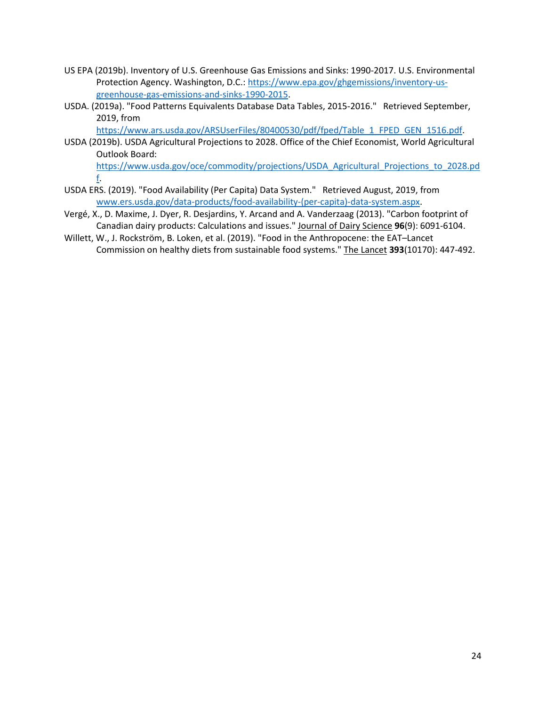- US EPA (2019b). Inventory of U.S. Greenhouse Gas Emissions and Sinks: 1990-2017. U.S. Environmental Protection Agency. Washington, D.C.: [https://www.epa.gov/ghgemissions/inventory-us](https://www.epa.gov/ghgemissions/inventory-us-greenhouse-gas-emissions-and-sinks-1990-2015)[greenhouse-gas-emissions-and-sinks-1990-2015.](https://www.epa.gov/ghgemissions/inventory-us-greenhouse-gas-emissions-and-sinks-1990-2015)
- USDA. (2019a). "Food Patterns Equivalents Database Data Tables, 2015-2016." Retrieved September, 2019, from

[https://www.ars.usda.gov/ARSUserFiles/80400530/pdf/fped/Table\\_1\\_FPED\\_GEN\\_1516.pdf.](https://www.ars.usda.gov/ARSUserFiles/80400530/pdf/fped/Table_1_FPED_GEN_1516.pdf)

- USDA (2019b). USDA Agricultural Projections to 2028. Office of the Chief Economist, World Agricultural Outlook Board: https://www.usda.gov/oce/commodity/projections/USDA Agricultural Projections to 2028.pd [f.](https://www.usda.gov/oce/commodity/projections/USDA_Agricultural_Projections_to_2028.pdf)
- USDA ERS. (2019). "Food Availability (Per Capita) Data System." Retrieved August, 2019, from www.ers.usda.gov/data-products/food-availability-(per-capita)-data-system.aspx.
- Vergé, X., D. Maxime, J. Dyer, R. Desjardins, Y. Arcand and A. Vanderzaag (2013). "Carbon footprint of Canadian dairy products: Calculations and issues." Journal of Dairy Science **96**(9): 6091-6104.
- Willett, W., J. Rockström, B. Loken, et al. (2019). "Food in the Anthropocene: the EAT–Lancet Commission on healthy diets from sustainable food systems." The Lancet **393**(10170): 447-492.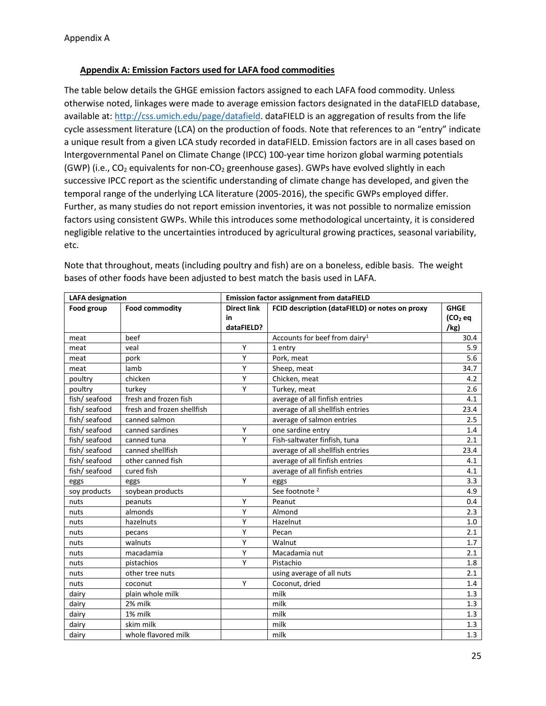#### <span id="page-27-0"></span>**Appendix A: Emission Factors used for LAFA food commodities**

The table below details the GHGE emission factors assigned to each LAFA food commodity. Unless otherwise noted, linkages were made to average emission factors designated in the dataFIELD database, available at[: http://css.umich.edu/page/datafield.](http://css.umich.edu/page/datafield) dataFIELD is an aggregation of results from the life cycle assessment literature (LCA) on the production of foods. Note that references to an "entry" indicate a unique result from a given LCA study recorded in dataFIELD. Emission factors are in all cases based on Intergovernmental Panel on Climate Change (IPCC) 100-year time horizon global warming potentials (GWP) (i.e.,  $CO<sub>2</sub>$  equivalents for non- $CO<sub>2</sub>$  greenhouse gases). GWPs have evolved slightly in each successive IPCC report as the scientific understanding of climate change has developed, and given the temporal range of the underlying LCA literature (2005-2016), the specific GWPs employed differ. Further, as many studies do not report emission inventories, it was not possible to normalize emission factors using consistent GWPs. While this introduces some methodological uncertainty, it is considered negligible relative to the uncertainties introduced by agricultural growing practices, seasonal variability, etc.

| <b>LAFA</b> designation |                            | <b>Emission factor assignment from dataFIELD</b> |                                                |                     |  |  |
|-------------------------|----------------------------|--------------------------------------------------|------------------------------------------------|---------------------|--|--|
| Food group              | <b>Food commodity</b>      | <b>Direct link</b>                               | FCID description (dataFIELD) or notes on proxy | <b>GHGE</b>         |  |  |
|                         |                            | in                                               |                                                | (CO <sub>2</sub> eq |  |  |
|                         |                            | dataFIELD?                                       |                                                | /kg)                |  |  |
| meat                    | beef                       |                                                  | Accounts for beef from dairy <sup>1</sup>      | 30.4                |  |  |
| meat                    | veal                       | Y                                                | 1 entry                                        | 5.9                 |  |  |
| meat                    | pork                       | Υ                                                | Pork, meat                                     | 5.6                 |  |  |
| meat                    | lamb                       | Y                                                | Sheep, meat                                    | 34.7                |  |  |
| poultry                 | chicken                    | Υ                                                | Chicken, meat                                  | 4.2                 |  |  |
| poultry                 | turkey                     | Y                                                | Turkey, meat                                   | 2.6                 |  |  |
| fish/ seafood           | fresh and frozen fish      |                                                  | average of all finfish entries                 | 4.1                 |  |  |
| fish/ seafood           | fresh and frozen shellfish |                                                  | average of all shellfish entries               | 23.4                |  |  |
| fish/ seafood           | canned salmon              |                                                  | average of salmon entries                      | 2.5                 |  |  |
| fish/ seafood           | canned sardines            | Y                                                | one sardine entry                              | 1.4                 |  |  |
| fish/ seafood           | canned tuna                | Y                                                | Fish-saltwater finfish, tuna                   | 2.1                 |  |  |
| fish/ seafood           | canned shellfish           |                                                  | average of all shellfish entries               | 23.4                |  |  |
| fish/ seafood           | other canned fish          |                                                  | average of all finfish entries                 | 4.1                 |  |  |
| fish/ seafood           | cured fish                 |                                                  | average of all finfish entries                 | 4.1                 |  |  |
| eggs                    | eggs                       | Y                                                | eggs                                           | 3.3                 |  |  |
| soy products            | soybean products           |                                                  | See footnote <sup>2</sup>                      | 4.9                 |  |  |
| nuts                    | peanuts                    | Y                                                | Peanut                                         | 0.4                 |  |  |
| nuts                    | almonds                    | Υ                                                | Almond                                         | 2.3                 |  |  |
| nuts                    | hazelnuts                  | Y                                                | Hazelnut                                       | 1.0                 |  |  |
| nuts                    | pecans                     | Υ                                                | Pecan                                          | 2.1                 |  |  |
| nuts                    | walnuts                    | Y                                                | Walnut                                         | 1.7                 |  |  |
| nuts                    | macadamia                  | Y                                                | Macadamia nut                                  | 2.1                 |  |  |
| nuts                    | pistachios                 | Y                                                | Pistachio                                      | 1.8                 |  |  |
| nuts                    | other tree nuts            |                                                  | using average of all nuts                      | 2.1                 |  |  |
| nuts                    | coconut                    | Υ                                                | Coconut, dried                                 | 1.4                 |  |  |
| dairy                   | plain whole milk           |                                                  | milk                                           | 1.3                 |  |  |
| dairy                   | 2% milk                    |                                                  | milk                                           | 1.3                 |  |  |
| dairy                   | 1% milk                    |                                                  | milk                                           | 1.3                 |  |  |
| dairy                   | skim milk                  |                                                  | milk                                           | 1.3                 |  |  |
| dairy                   | whole flavored milk        |                                                  | milk                                           | 1.3                 |  |  |

Note that throughout, meats (including poultry and fish) are on a boneless, edible basis. The weight bases of other foods have been adjusted to best match the basis used in LAFA.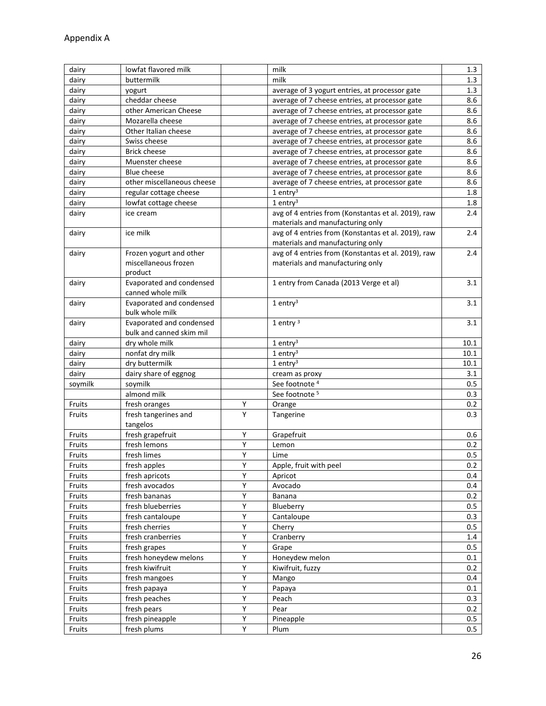| dairy   | lowfat flavored milk                          |                | milk                                                                                    | 1.3     |
|---------|-----------------------------------------------|----------------|-----------------------------------------------------------------------------------------|---------|
| dairy   | buttermilk                                    |                | milk                                                                                    | 1.3     |
| dairy   | yogurt                                        |                | average of 3 yogurt entries, at processor gate                                          | 1.3     |
| dairy   | cheddar cheese                                |                | average of 7 cheese entries, at processor gate                                          | 8.6     |
| dairy   | other American Cheese                         |                | average of 7 cheese entries, at processor gate                                          | 8.6     |
| dairy   | Mozarella cheese                              |                | average of 7 cheese entries, at processor gate                                          | 8.6     |
| dairy   | Other Italian cheese                          |                | average of 7 cheese entries, at processor gate                                          | 8.6     |
| dairy   | Swiss cheese                                  |                | average of 7 cheese entries, at processor gate                                          | 8.6     |
| dairy   | <b>Brick cheese</b>                           |                | average of 7 cheese entries, at processor gate                                          | 8.6     |
| dairy   | Muenster cheese                               |                | average of 7 cheese entries, at processor gate                                          | 8.6     |
| dairy   | <b>Blue cheese</b>                            |                | average of 7 cheese entries, at processor gate                                          | 8.6     |
| dairy   | other miscellaneous cheese                    |                | average of 7 cheese entries, at processor gate                                          | 8.6     |
| dairy   | regular cottage cheese                        |                | $1$ entry <sup>3</sup>                                                                  | 1.8     |
| dairy   | lowfat cottage cheese                         |                | $1$ entry <sup>3</sup>                                                                  | 1.8     |
| dairy   | ice cream                                     |                | avg of 4 entries from (Konstantas et al. 2019), raw                                     | 2.4     |
|         |                                               |                | materials and manufacturing only                                                        |         |
| dairy   | ice milk                                      |                | avg of 4 entries from (Konstantas et al. 2019), raw<br>materials and manufacturing only | 2.4     |
| dairy   | Frozen yogurt and other                       |                | avg of 4 entries from (Konstantas et al. 2019), raw                                     | 2.4     |
|         | miscellaneous frozen                          |                | materials and manufacturing only                                                        |         |
|         | product                                       |                |                                                                                         |         |
| dairy   | Evaporated and condensed<br>canned whole milk |                | 1 entry from Canada (2013 Verge et al)                                                  | 3.1     |
|         | Evaporated and condensed                      |                | $1$ entry <sup>3</sup>                                                                  | 3.1     |
| dairy   | bulk whole milk                               |                |                                                                                         |         |
| dairy   | Evaporated and condensed                      |                | 1 entry $3$                                                                             | 3.1     |
|         | bulk and canned skim mil                      |                |                                                                                         |         |
| dairy   | dry whole milk                                |                | $1$ entry <sup>3</sup>                                                                  | 10.1    |
| dairy   | nonfat dry milk                               |                | $1$ entry <sup>3</sup>                                                                  | 10.1    |
| dairy   | dry buttermilk                                |                | $1$ entry <sup>3</sup>                                                                  | 10.1    |
| dairy   | dairy share of eggnog                         |                | cream as proxy                                                                          | 3.1     |
| soymilk | soymilk                                       |                | See footnote <sup>4</sup>                                                               | 0.5     |
|         | almond milk                                   |                | See footnote <sup>5</sup>                                                               | 0.3     |
| Fruits  | fresh oranges                                 | Υ              | Orange                                                                                  | 0.2     |
| Fruits  | fresh tangerines and                          | Υ              | Tangerine                                                                               | 0.3     |
|         | tangelos                                      |                |                                                                                         |         |
| Fruits  | fresh grapefruit                              | Υ              | Grapefruit                                                                              | 0.6     |
| Fruits  | fresh lemons                                  | Υ              | Lemon                                                                                   | 0.2     |
| Fruits  | fresh limes                                   | Υ              | Lime                                                                                    | 0.5     |
| Fruits  | fresh apples                                  | Υ              | Apple, fruit with peel                                                                  | 0.2     |
| Fruits  | fresh apricots                                | Υ              | Apricot                                                                                 | 0.4     |
| Fruits  | fresh avocados                                | Υ              | Avocado                                                                                 | 0.4     |
| Fruits  | fresh bananas                                 | Υ              | Banana                                                                                  | 0.2     |
| Fruits  | fresh blueberries                             | Υ              | Blueberry                                                                               | $0.5\,$ |
| Fruits  | fresh cantaloupe                              | $\overline{Y}$ | Cantaloupe                                                                              | 0.3     |
| Fruits  | fresh cherries                                | Υ              | Cherry                                                                                  | $0.5\,$ |
| Fruits  | fresh cranberries                             | Υ              | Cranberry                                                                               | 1.4     |
| Fruits  | fresh grapes                                  | Υ              | Grape                                                                                   | $0.5\,$ |
| Fruits  | fresh honeydew melons                         | Υ              | Honeydew melon                                                                          | 0.1     |
| Fruits  | fresh kiwifruit                               | Υ              | Kiwifruit, fuzzy                                                                        | 0.2     |
| Fruits  | fresh mangoes                                 | Υ              | Mango                                                                                   | 0.4     |
| Fruits  | fresh papaya                                  | Υ              | Papaya                                                                                  | 0.1     |
| Fruits  | fresh peaches                                 | Υ              | Peach                                                                                   | 0.3     |
| Fruits  | fresh pears                                   | Υ              | Pear                                                                                    | 0.2     |
| Fruits  | fresh pineapple                               | $\overline{Y}$ | Pineapple                                                                               | 0.5     |
| Fruits  | fresh plums                                   | Υ              | Plum                                                                                    | 0.5     |
|         |                                               |                |                                                                                         |         |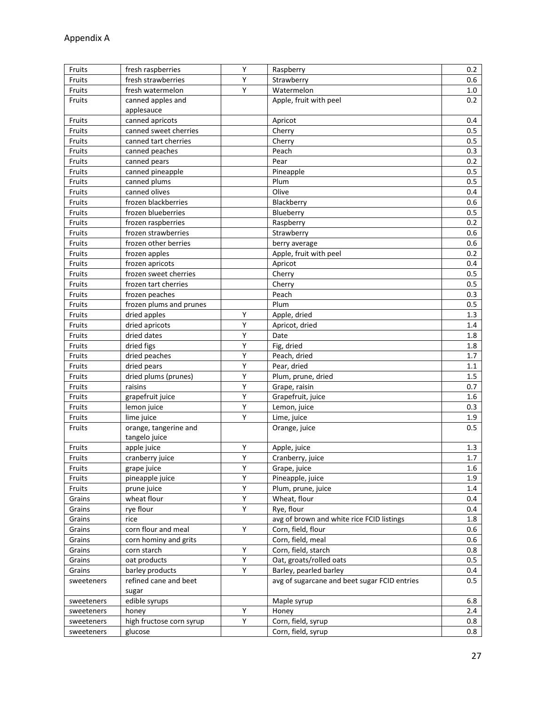| Υ<br>Fruits<br>fresh raspberries<br>Raspberry                                       | 0.2     |
|-------------------------------------------------------------------------------------|---------|
| Y<br>Fruits<br>Strawberry<br>fresh strawberries                                     | 0.6     |
| $\overline{Y}$<br>Watermelon<br>Fruits<br>fresh watermelon                          | 1.0     |
| Fruits<br>canned apples and<br>Apple, fruit with peel                               | 0.2     |
| applesauce                                                                          |         |
| Fruits<br>canned apricots<br>Apricot                                                | 0.4     |
| Fruits<br>Cherry<br>canned sweet cherries                                           | 0.5     |
| Fruits<br>canned tart cherries<br>Cherry                                            | 0.5     |
| Fruits<br>canned peaches<br>Peach                                                   | 0.3     |
| Fruits<br>Pear<br>canned pears                                                      | 0.2     |
| Fruits<br>canned pineapple<br>Pineapple                                             | 0.5     |
| Plum<br>Fruits<br>canned plums                                                      | 0.5     |
| Olive<br>canned olives<br>Fruits                                                    | 0.4     |
| Fruits<br>frozen blackberries<br>Blackberry                                         | 0.6     |
| Fruits<br>frozen blueberries<br>Blueberry                                           | 0.5     |
| Fruits<br>frozen raspberries<br>Raspberry                                           | 0.2     |
| frozen strawberries<br>Fruits<br>Strawberry                                         | 0.6     |
| Fruits<br>frozen other berries<br>berry average                                     | 0.6     |
| frozen apples<br>Apple, fruit with peel<br>Fruits                                   | 0.2     |
| Fruits<br>Apricot<br>frozen apricots                                                | 0.4     |
| Fruits<br>frozen sweet cherries<br>Cherry                                           | 0.5     |
| Fruits<br>frozen tart cherries<br>Cherry                                            | 0.5     |
| frozen peaches<br>Peach<br>Fruits                                                   | 0.3     |
| frozen plums and prunes<br>Plum<br>Fruits                                           | 0.5     |
| Υ<br>Fruits<br>dried apples<br>Apple, dried                                         | 1.3     |
| Υ<br>Fruits<br>dried apricots<br>Apricot, dried                                     | 1.4     |
| Y<br>Fruits<br>dried dates<br>Date                                                  | 1.8     |
| Υ<br>Fig, dried<br>Fruits<br>dried figs                                             | 1.8     |
| Y<br>dried peaches<br>Peach, dried<br>Fruits                                        | 1.7     |
| Υ<br>Pear, dried<br>Fruits<br>dried pears                                           | 1.1     |
| Υ<br>Fruits<br>dried plums (prunes)<br>Plum, prune, dried                           | 1.5     |
| Υ<br>Fruits<br>raisins<br>Grape, raisin                                             | 0.7     |
| Υ<br>Fruits<br>Grapefruit, juice<br>grapefruit juice                                | 1.6     |
| Υ<br>Fruits<br>lemon juice<br>Lemon, juice                                          | 0.3     |
| Υ<br>Fruits<br>lime juice<br>Lime, juice                                            | 1.9     |
| Fruits<br>orange, tangerine and<br>Orange, juice                                    | 0.5     |
| tangelo juice                                                                       |         |
| Fruits<br>apple juice<br>Υ<br>Apple, juice                                          | 1.3     |
| Υ<br>Fruits<br>cranberry juice<br>Cranberry, juice                                  | 1.7     |
| Υ<br>Fruits<br>Grape, juice<br>grape juice                                          | 1.6     |
| Υ<br>pineapple juice<br>Pineapple, juice<br>Fruits                                  | 1.9     |
| Υ<br>Fruits<br>prune juice<br>Plum, prune, juice                                    | 1.4     |
| Υ<br>wheat flour<br>Wheat, flour<br>Grains                                          | 0.4     |
| rye flour<br>Υ<br>Rye, flour<br>Grains                                              | 0.4     |
| avg of brown and white rice FCID listings<br>rice<br>Grains                         | 1.8     |
| Υ<br>corn flour and meal<br>Corn, field, flour<br>Grains                            | 0.6     |
| Corn, field, meal<br>Grains<br>corn hominy and grits                                | 0.6     |
| Υ<br>Corn, field, starch<br>Grains<br>corn starch                                   | 0.8     |
| Υ<br>oat products<br>Oat, groats/rolled oats<br>Grains                              | $0.5\,$ |
| Υ<br>barley products<br>Barley, pearled barley<br>Grains                            | 0.4     |
| refined cane and beet<br>avg of sugarcane and beet sugar FCID entries<br>sweeteners | $0.5\,$ |
| sugar                                                                               |         |
| edible syrups<br>Maple syrup<br>sweeteners                                          | 6.8     |
| Υ<br>Honey<br>sweeteners<br>honey                                                   | 2.4     |
| high fructose corn syrup<br>Υ<br>Corn, field, syrup<br>sweeteners                   | 0.8     |
| Corn, field, syrup<br>sweeteners<br>glucose                                         | 0.8     |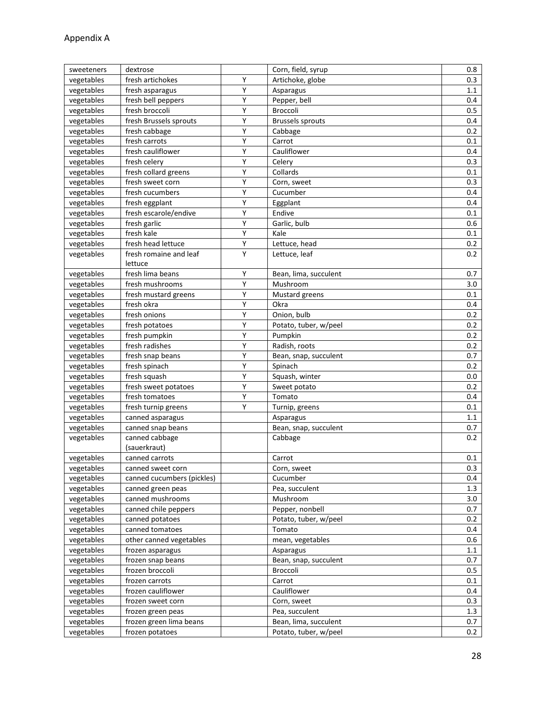| sweeteners               | dextrose                   |                | Corn, field, syrup      | 0.8     |
|--------------------------|----------------------------|----------------|-------------------------|---------|
| vegetables               | fresh artichokes           | Υ              | Artichoke, globe        | 0.3     |
| vegetables               | fresh asparagus            | Υ              | Asparagus               | 1.1     |
| vegetables               | fresh bell peppers         | Υ              | Pepper, bell            | 0.4     |
| vegetables               | fresh broccoli             | Υ              | Broccoli                | 0.5     |
| vegetables               | fresh Brussels sprouts     | Υ              | <b>Brussels sprouts</b> | 0.4     |
| vegetables               | fresh cabbage              | Υ              | Cabbage                 | 0.2     |
| vegetables               | fresh carrots              | Υ              | Carrot                  | 0.1     |
| vegetables               | fresh cauliflower          | Υ              | Cauliflower             | 0.4     |
| vegetables               | fresh celery               | Υ              | Celery                  | 0.3     |
| vegetables               | fresh collard greens       | Υ              | Collards                | 0.1     |
| vegetables               | fresh sweet corn           | Υ              | Corn, sweet             | 0.3     |
| vegetables               | fresh cucumbers            | Υ              | Cucumber                | 0.4     |
| vegetables               | fresh eggplant             | Υ              | Eggplant                | 0.4     |
| vegetables               | fresh escarole/endive      | Y              | Endive                  | 0.1     |
| vegetables               | fresh garlic               | Υ              | Garlic, bulb            | 0.6     |
| vegetables               | fresh kale                 | $\overline{Y}$ | Kale                    | 0.1     |
| vegetables               | fresh head lettuce         | Υ              | Lettuce, head           | 0.2     |
| vegetables               | fresh romaine and leaf     | Y              | Lettuce, leaf           | 0.2     |
|                          | lettuce                    |                |                         |         |
| vegetables               | fresh lima beans           | Υ              | Bean, lima, succulent   | 0.7     |
| vegetables               | fresh mushrooms            | Υ              | Mushroom                | 3.0     |
| vegetables               | fresh mustard greens       | Υ              | Mustard greens          | 0.1     |
| vegetables               | fresh okra                 | Υ              | Okra                    | 0.4     |
| vegetables               | fresh onions               | Υ              | Onion, bulb             | 0.2     |
| vegetables               | fresh potatoes             | Y              | Potato, tuber, w/peel   | 0.2     |
| vegetables               | fresh pumpkin              | Υ              | Pumpkin                 | 0.2     |
| vegetables               | fresh radishes             | Υ              | Radish, roots           | 0.2     |
| vegetables               | fresh snap beans           | Υ              | Bean, snap, succulent   | 0.7     |
| vegetables               | fresh spinach              | Υ              | Spinach                 | 0.2     |
| vegetables               | fresh squash               | Υ              | Squash, winter          | 0.0     |
| vegetables               | fresh sweet potatoes       | $\overline{Y}$ | Sweet potato            | 0.2     |
| vegetables               | fresh tomatoes             | Υ              | Tomato                  | 0.4     |
| vegetables               | fresh turnip greens        | Υ              | Turnip, greens          | 0.1     |
| vegetables               | canned asparagus           |                | Asparagus               | 1.1     |
| vegetables               | canned snap beans          |                | Bean, snap, succulent   | 0.7     |
| vegetables               | canned cabbage             |                | Cabbage                 | 0.2     |
|                          | (sauerkraut)               |                |                         |         |
| vegetables               | canned carrots             |                | Carrot                  | 0.1     |
| vegetables               | canned sweet corn          |                | Corn, sweet             | 0.3     |
| vegetables               | canned cucumbers (pickles) |                | Cucumber                | 0.4     |
| vegetables               | canned green peas          |                | Pea, succulent          | 1.3     |
| vegetables               | canned mushrooms           |                | Mushroom                | 3.0     |
| vegetables               | canned chile peppers       |                | Pepper, nonbell         | 0.7     |
| vegetables               | canned potatoes            |                | Potato, tuber, w/peel   | 0.2     |
| vegetables               | canned tomatoes            |                | Tomato                  | 0.4     |
| vegetables               | other canned vegetables    |                | mean, vegetables        | 0.6     |
| vegetables               | frozen asparagus           |                | Asparagus               | 1.1     |
| vegetables               | frozen snap beans          |                | Bean, snap, succulent   | 0.7     |
| vegetables               | frozen broccoli            |                | Broccoli                | $0.5\,$ |
| vegetables               | frozen carrots             |                | Carrot                  | 0.1     |
|                          | frozen cauliflower         |                | Cauliflower             | 0.4     |
| vegetables<br>vegetables | frozen sweet corn          |                |                         | 0.3     |
|                          |                            |                | Corn, sweet             |         |
| vegetables               | frozen green peas          |                | Pea, succulent          | 1.3     |
| vegetables               | frozen green lima beans    |                | Bean, lima, succulent   | 0.7     |
| vegetables               | frozen potatoes            |                | Potato, tuber, w/peel   | 0.2     |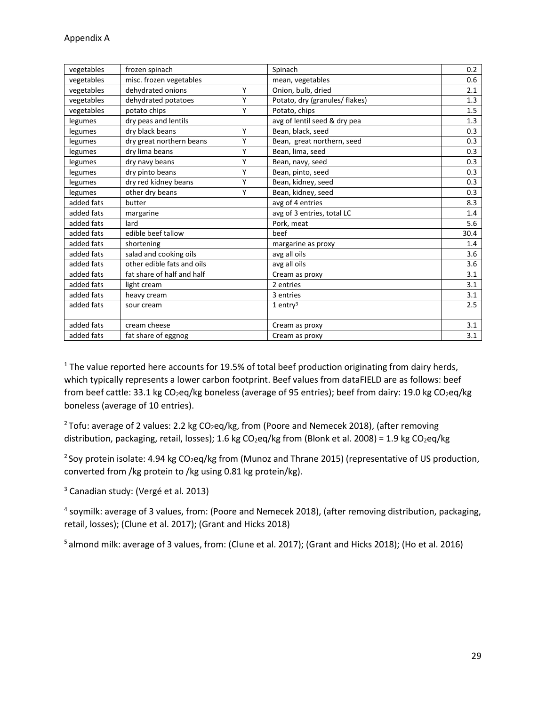| vegetables | frozen spinach             |   | Spinach                        | 0.2  |
|------------|----------------------------|---|--------------------------------|------|
| vegetables | misc. frozen vegetables    |   | mean, vegetables               | 0.6  |
| vegetables | dehydrated onions          | Y | Onion, bulb, dried             | 2.1  |
| vegetables | dehydrated potatoes        | Y | Potato, dry (granules/ flakes) | 1.3  |
| vegetables | potato chips               | Υ | Potato, chips                  | 1.5  |
| legumes    | dry peas and lentils       |   | avg of lentil seed & dry pea   | 1.3  |
| legumes    | dry black beans            | Y | Bean, black, seed              | 0.3  |
| legumes    | dry great northern beans   | Y | Bean, great northern, seed     | 0.3  |
| legumes    | dry lima beans             | Y | Bean, lima, seed               | 0.3  |
| legumes    | dry navy beans             | Y | Bean, navy, seed               | 0.3  |
| legumes    | dry pinto beans            | Y | Bean, pinto, seed              | 0.3  |
| legumes    | dry red kidney beans       | Y | Bean, kidney, seed             | 0.3  |
| legumes    | other dry beans            | Υ | Bean, kidney, seed             | 0.3  |
| added fats | butter                     |   | avg of 4 entries               | 8.3  |
| added fats | margarine                  |   | avg of 3 entries, total LC     | 1.4  |
| added fats | lard                       |   | Pork, meat                     | 5.6  |
| added fats | edible beef tallow         |   | beef                           | 30.4 |
| added fats | shortening                 |   | margarine as proxy             | 1.4  |
| added fats | salad and cooking oils     |   | avg all oils                   | 3.6  |
| added fats | other edible fats and oils |   | avg all oils                   | 3.6  |
| added fats | fat share of half and half |   | Cream as proxy                 | 3.1  |
| added fats | light cream                |   | 2 entries                      | 3.1  |
| added fats | heavy cream                |   | 3 entries                      | 3.1  |
| added fats | sour cream                 |   | $1$ entry <sup>3</sup>         | 2.5  |
|            |                            |   |                                |      |
| added fats | cream cheese               |   | Cream as proxy                 | 3.1  |
| added fats | fat share of eggnog        |   | Cream as proxy                 | 3.1  |

 $1$  The value reported here accounts for 19.5% of total beef production originating from dairy herds, which typically represents a lower carbon footprint. Beef values from dataFIELD are as follows: beef from beef cattle: 33.1 kg CO<sub>2</sub>eq/kg boneless (average of 95 entries); beef from dairy: 19.0 kg CO<sub>2</sub>eq/kg boneless (average of 10 entries).

<sup>2</sup> Tofu: average of 2 values: 2.2 kg CO<sub>2</sub>eq/kg, from (Poore and Nemecek 2018), (after removing distribution, packaging, retail, losses); 1.6 kg CO<sub>2</sub>eq/kg from (Blonk et al. 2008) = 1.9 kg CO<sub>2</sub>eq/kg

<sup>2</sup> Soy protein isolate: 4.94 kg CO<sub>2</sub>eq/kg from (Munoz and Thrane 2015) (representative of US production, converted from /kg protein to /kg using 0.81 kg protein/kg).

<sup>3</sup> Canadian study: (Vergé et al. 2013)

<sup>4</sup> soymilk: average of 3 values, from: (Poore and Nemecek 2018), (after removing distribution, packaging, retail, losses); (Clune et al. 2017); (Grant and Hicks 2018)

5 almond milk: average of 3 values, from: (Clune et al. 2017); (Grant and Hicks 2018); (Ho et al. 2016)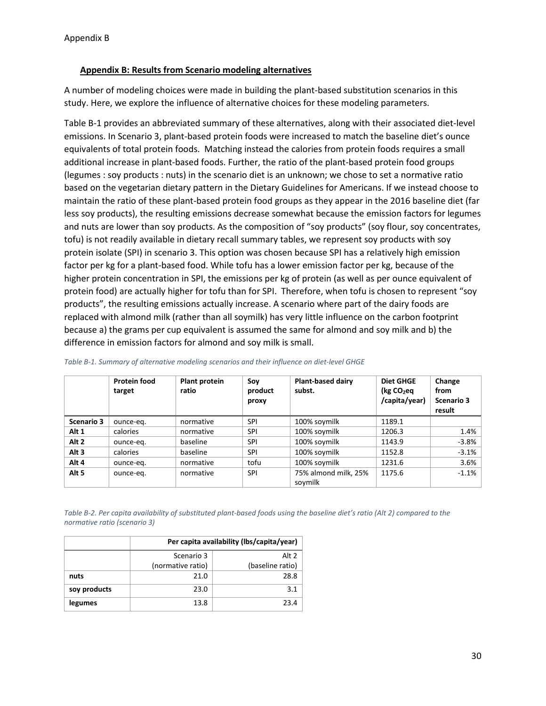#### <span id="page-32-0"></span>**Appendix B: Results from Scenario modeling alternatives**

A number of modeling choices were made in building the plant-based substitution scenarios in this study. Here, we explore the influence of alternative choices for these modeling parameters.

Table B-1 provides an abbreviated summary of these alternatives, along with their associated diet-level emissions. In Scenario 3, plant-based protein foods were increased to match the baseline diet's ounce equivalents of total protein foods. Matching instead the calories from protein foods requires a small additional increase in plant-based foods. Further, the ratio of the plant-based protein food groups (legumes : soy products : nuts) in the scenario diet is an unknown; we chose to set a normative ratio based on the vegetarian dietary pattern in the Dietary Guidelines for Americans. If we instead choose to maintain the ratio of these plant-based protein food groups as they appear in the 2016 baseline diet (far less soy products), the resulting emissions decrease somewhat because the emission factors for legumes and nuts are lower than soy products. As the composition of "soy products" (soy flour, soy concentrates, tofu) is not readily available in dietary recall summary tables, we represent soy products with soy protein isolate (SPI) in scenario 3. This option was chosen because SPI has a relatively high emission factor per kg for a plant-based food. While tofu has a lower emission factor per kg, because of the higher protein concentration in SPI, the emissions per kg of protein (as well as per ounce equivalent of protein food) are actually higher for tofu than for SPI. Therefore, when tofu is chosen to represent "soy products", the resulting emissions actually increase. A scenario where part of the dairy foods are replaced with almond milk (rather than all soymilk) has very little influence on the carbon footprint because a) the grams per cup equivalent is assumed the same for almond and soy milk and b) the difference in emission factors for almond and soy milk is small.

|                  | <b>Protein food</b><br>target | <b>Plant protein</b><br>ratio | Soy<br>product<br>proxy | <b>Plant-based dairy</b><br>subst. | <b>Diet GHGE</b><br>(kg CO <sub>2</sub> eq)<br>/capita/year) | Change<br>from<br>Scenario 3<br>result |
|------------------|-------------------------------|-------------------------------|-------------------------|------------------------------------|--------------------------------------------------------------|----------------------------------------|
| Scenario 3       | ounce-eg.                     | normative                     | SPI                     | 100% soymilk                       | 1189.1                                                       |                                        |
| Alt 1            | calories                      | normative                     | SPI                     | 100% soymilk                       | 1206.3                                                       | 1.4%                                   |
| Alt <sub>2</sub> | ounce-eg.                     | baseline                      | SPI                     | 100% soymilk                       | 1143.9                                                       | $-3.8%$                                |
| Alt <sub>3</sub> | calories                      | baseline                      | SPI                     | 100% soymilk                       | 1152.8                                                       | $-3.1%$                                |
| Alt 4            | ounce-eg.                     | normative                     | tofu                    | 100% soymilk                       | 1231.6                                                       | 3.6%                                   |
| Alt <sub>5</sub> | ounce-eg.                     | normative                     | <b>SPI</b>              | 75% almond milk, 25%<br>soymilk    | 1175.6                                                       | $-1.1%$                                |

*Table B-1. Summary of alternative modeling scenarios and their influence on diet-level GHGE*

*Table B-2. Per capita availability of substituted plant-based foods using the baseline diet's ratio (Alt 2) compared to the normative ratio (scenario 3)*

|              | Per capita availability (lbs/capita/year) |                  |  |  |  |  |
|--------------|-------------------------------------------|------------------|--|--|--|--|
|              | Scenario 3                                | Alt 2            |  |  |  |  |
|              | (normative ratio)                         | (baseline ratio) |  |  |  |  |
| nuts         | 21.0                                      | 28.8             |  |  |  |  |
| soy products | 23.0                                      | 3.1              |  |  |  |  |
| legumes      | 13.8                                      | 23.4             |  |  |  |  |